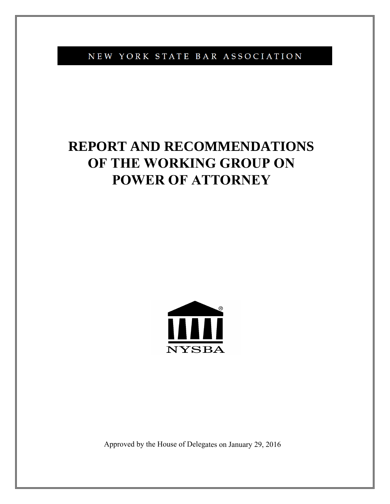NEW YORK STATE BAR ASSOCIATION

# **REPORT AND RECOMMENDATIONS OF THE WORKING GROUP ON POWER OF ATTORNEY**



Approved by the House of Delegates on January 29, 2016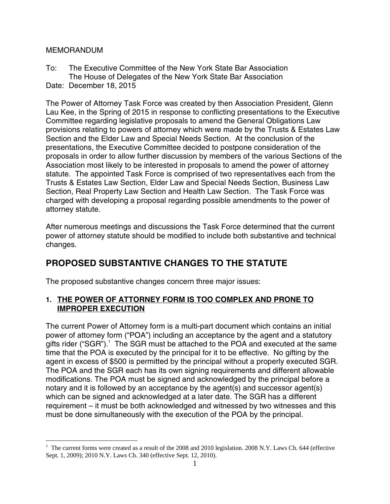#### MEMORANDUM

To: The Executive Committee of the New York State Bar Association The House of Delegates of the New York State Bar Association Date: December 18, 2015

The Power of Attorney Task Force was created by then Association President, Glenn Lau Kee, in the Spring of 2015 in response to conflicting presentations to the Executive Committee regarding legislative proposals to amend the General Obligations Law provisions relating to powers of attorney which were made by the Trusts & Estates Law Section and the Elder Law and Special Needs Section. At the conclusion of the presentations, the Executive Committee decided to postpone consideration of the proposals in order to allow further discussion by members of the various Sections of the Association most likely to be interested in proposals to amend the power of attorney statute. The appointed Task Force is comprised of two representatives each from the Trusts & Estates Law Section, Elder Law and Special Needs Section, Business Law Section, Real Property Law Section and Health Law Section. The Task Force was charged with developing a proposal regarding possible amendments to the power of attorney statute.

After numerous meetings and discussions the Task Force determined that the current power of attorney statute should be modified to include both substantive and technical changes.

# **PROPOSED SUBSTANTIVE CHANGES TO THE STATUTE**

The proposed substantive changes concern three major issues:

# **1. THE POWER OF ATTORNEY FORM IS TOO COMPLEX AND PRONE TO IMPROPER EXECUTION**

The current Power of Attorney form is a multi-part document which contains an initial power of attorney form ("POA") including an acceptance by the agent and a statutory gifts rider ("SGR"). $1$  The SGR must be attached to the POA and executed at the same time that the POA is executed by the principal for it to be effective. No gifting by the agent in excess of \$500 is permitted by the principal without a properly executed SGR. The POA and the SGR each has its own signing requirements and different allowable modifications. The POA must be signed and acknowledged by the principal before a notary and it is followed by an acceptance by the agent(s) and successor agent(s) which can be signed and acknowledged at a later date. The SGR has a different requirement – it must be both acknowledged and witnessed by two witnesses and this must be done simultaneously with the execution of the POA by the principal.

 $\overline{a}$  $1$  The current forms were created as a result of the 2008 and 2010 legislation. 2008 N.Y. Laws Ch. 644 (effective Sept. 1, 2009); 2010 N.Y. Laws Ch. 340 (effective Sept. 12, 2010).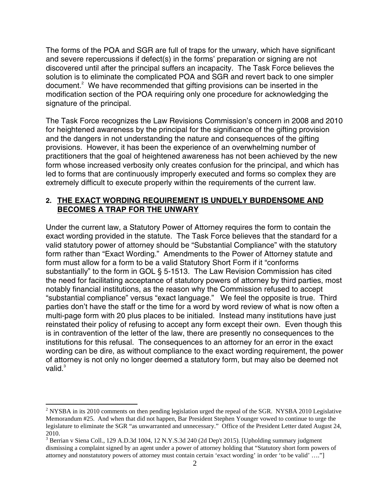The forms of the POA and SGR are full of traps for the unwary, which have significant and severe repercussions if defect(s) in the forms' preparation or signing are not discovered until after the principal suffers an incapacity. The Task Force believes the solution is to eliminate the complicated POA and SGR and revert back to one simpler document. $2$  We have recommended that gifting provisions can be inserted in the modification section of the POA requiring only one procedure for acknowledging the signature of the principal.

The Task Force recognizes the Law Revisions Commission's concern in 2008 and 2010 for heightened awareness by the principal for the significance of the gifting provision and the dangers in not understanding the nature and consequences of the gifting provisions. However, it has been the experience of an overwhelming number of practitioners that the goal of heightened awareness has not been achieved by the new form whose increased verbosity only creates confusion for the principal, and which has led to forms that are continuously improperly executed and forms so complex they are extremely difficult to execute properly within the requirements of the current law.

#### **2. THE EXACT WORDING REQUIREMENT IS UNDUELY BURDENSOME AND BECOMES A TRAP FOR THE UNWARY**

Under the current law, a Statutory Power of Attorney requires the form to contain the exact wording provided in the statute. The Task Force believes that the standard for a valid statutory power of attorney should be "Substantial Compliance" with the statutory form rather than "Exact Wording." Amendments to the Power of Attorney statute and form must allow for a form to be a valid Statutory Short Form if it "conforms substantially" to the form in GOL § 5-1513. The Law Revision Commission has cited the need for facilitating acceptance of statutory powers of attorney by third parties, most notably financial institutions, as the reason why the Commission refused to accept "substantial compliance" versus "exact language." We feel the opposite is true. Third parties don't have the staff or the time for a word by word review of what is now often a multi-page form with 20 plus places to be initialed. Instead many institutions have just reinstated their policy of refusing to accept any form except their own. Even though this is in contravention of the letter of the law, there are presently no consequences to the institutions for this refusal. The consequences to an attorney for an error in the exact wording can be dire, as without compliance to the exact wording requirement, the power of attorney is not only no longer deemed a statutory form, but may also be deemed not valid. $3$ 

 $\overline{a}$ 

<sup>&</sup>lt;sup>2</sup> NYSBA in its 2010 comments on then pending legislation urged the repeal of the SGR. NYSBA 2010 Legislative Memorandum #25. And when that did not happen, Bar President Stephen Younger vowed to continue to urge the legislature to eliminate the SGR "as unwarranted and unnecessary." Office of the President Letter dated August 24, 2010.

<sup>&</sup>lt;sup>3</sup> Berrian v Siena Coll., 129 A.D.3d 1004, 12 N.Y.S.3d 240 (2d Dep't 2015). [Upholding summary judgment dismissing a complaint signed by an agent under a power of attorney holding that "Statutory short form powers of attorney and nonstatutory powers of attorney must contain certain 'exact wording' in order 'to be valid' …."]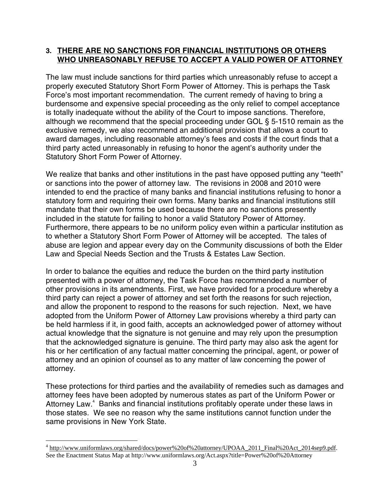#### **3. THERE ARE NO SANCTIONS FOR FINANCIAL INSTITUTIONS OR OTHERS WHO UNREASONABLY REFUSE TO ACCEPT A VALID POWER OF ATTORNEY**

The law must include sanctions for third parties which unreasonably refuse to accept a properly executed Statutory Short Form Power of Attorney. This is perhaps the Task Force's most important recommendation. The current remedy of having to bring a burdensome and expensive special proceeding as the only relief to compel acceptance is totally inadequate without the ability of the Court to impose sanctions. Therefore, although we recommend that the special proceeding under GOL § 5-1510 remain as the exclusive remedy, we also recommend an additional provision that allows a court to award damages, including reasonable attorney's fees and costs if the court finds that a third party acted unreasonably in refusing to honor the agent's authority under the Statutory Short Form Power of Attorney.

We realize that banks and other institutions in the past have opposed putting any "teeth" or sanctions into the power of attorney law. The revisions in 2008 and 2010 were intended to end the practice of many banks and financial institutions refusing to honor a statutory form and requiring their own forms. Many banks and financial institutions still mandate that their own forms be used because there are no sanctions presently included in the statute for failing to honor a valid Statutory Power of Attorney. Furthermore, there appears to be no uniform policy even within a particular institution as to whether a Statutory Short Form Power of Attorney will be accepted. The tales of abuse are legion and appear every day on the Community discussions of both the Elder Law and Special Needs Section and the Trusts & Estates Law Section.

In order to balance the equities and reduce the burden on the third party institution presented with a power of attorney, the Task Force has recommended a number of other provisions in its amendments. First, we have provided for a procedure whereby a third party can reject a power of attorney and set forth the reasons for such rejection, and allow the proponent to respond to the reasons for such rejection. Next, we have adopted from the Uniform Power of Attorney Law provisions whereby a third party can be held harmless if it, in good faith, accepts an acknowledged power of attorney without actual knowledge that the signature is not genuine and may rely upon the presumption that the acknowledged signature is genuine. The third party may also ask the agent for his or her certification of any factual matter concerning the principal, agent, or power of attorney and an opinion of counsel as to any matter of law concerning the power of attorney.

These protections for third parties and the availability of remedies such as damages and attorney fees have been adopted by numerous states as part of the Uniform Power or Attorney Law.<sup>4</sup> Banks and financial institutions profitably operate under these laws in those states. We see no reason why the same institutions cannot function under the same provisions in New York State.

1

<sup>&</sup>lt;sup>4</sup> http://www.uniformlaws.org/shared/docs/power%20of%20attorney/UPOAA\_2011\_Final%20Act\_2014sep9.pdf. See the Enactment Status Map at http://www.uniformlaws.org/Act.aspx?title=Power%20of%20Attorney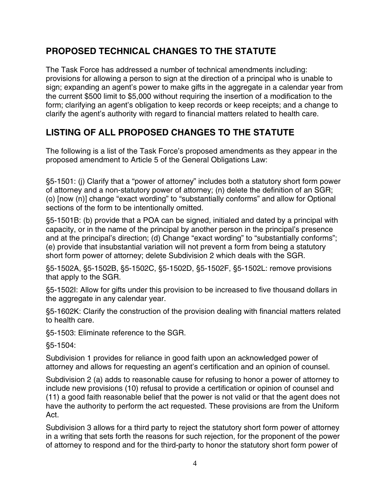# **PROPOSED TECHNICAL CHANGES TO THE STATUTE**

The Task Force has addressed a number of technical amendments including: provisions for allowing a person to sign at the direction of a principal who is unable to sign; expanding an agent's power to make gifts in the aggregate in a calendar year from the current \$500 limit to \$5,000 without requiring the insertion of a modification to the form; clarifying an agent's obligation to keep records or keep receipts; and a change to clarify the agent's authority with regard to financial matters related to health care.

# **LISTING OF ALL PROPOSED CHANGES TO THE STATUTE**

The following is a list of the Task Force's proposed amendments as they appear in the proposed amendment to Article 5 of the General Obligations Law:

§5-1501: (j) Clarify that a "power of attorney" includes both a statutory short form power of attorney and a non-statutory power of attorney; (n) delete the definition of an SGR; (o) [now (n)] change "exact wording" to "substantially conforms" and allow for Optional sections of the form to be intentionally omitted.

§5-1501B: (b) provide that a POA can be signed, initialed and dated by a principal with capacity, or in the name of the principal by another person in the principal's presence and at the principal's direction; (d) Change "exact wording" to "substantially conforms"; (e) provide that insubstantial variation will not prevent a form from being a statutory short form power of attorney; delete Subdivision 2 which deals with the SGR.

§5-1502A, §5-1502B, §5-1502C, §5-1502D, §5-1502F, §5-1502L: remove provisions that apply to the SGR.

§5-1502I: Allow for gifts under this provision to be increased to five thousand dollars in the aggregate in any calendar year.

§5-1602K: Clarify the construction of the provision dealing with financial matters related to health care.

§5-1503: Eliminate reference to the SGR.

§5-1504:

Subdivision 1 provides for reliance in good faith upon an acknowledged power of attorney and allows for requesting an agent's certification and an opinion of counsel.

Subdivision 2 (a) adds to reasonable cause for refusing to honor a power of attorney to include new provisions (10) refusal to provide a certification or opinion of counsel and (11) a good faith reasonable belief that the power is not valid or that the agent does not have the authority to perform the act requested. These provisions are from the Uniform Act.

Subdivision 3 allows for a third party to reject the statutory short form power of attorney in a writing that sets forth the reasons for such rejection, for the proponent of the power of attorney to respond and for the third-party to honor the statutory short form power of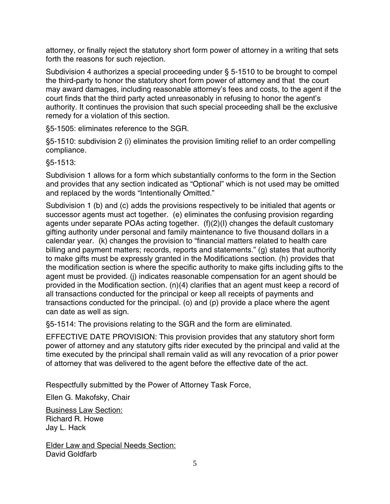attorney, or finally reject the statutory short form power of attorney in a writing that sets forth the reasons for such rejection.

Subdivision 4 authorizes a special proceeding under § 5-1510 to be brought to compel the third-party to honor the statutory short form power of attorney and that the court may award damages, including reasonable attorney's fees and costs, to the agent if the court finds that the third party acted unreasonably in refusing to honor the agent's authority. It continues the provision that such special proceeding shall be the exclusive remedy for a violation of this section.

§5-1505: eliminates reference to the SGR.

§5-1510: subdivision 2 (i) eliminates the provision limiting relief to an order compelling compliance.

§5-1513:

Subdivision 1 allows for a form which substantially conforms to the form in the Section and provides that any section indicated as "Optional" which is not used may be omitted and replaced by the words "Intentionally Omitted."

Subdivision 1 (b) and (c) adds the provisions respectively to be initialed that agents or successor agents must act together. (e) eliminates the confusing provision regarding agents under separate POAs acting together. (f)(2)(I) changes the default customary gifting authority under personal and family maintenance to five thousand dollars in a calendar year. (k) changes the provision to "financial matters related to health care billing and payment matters; records, reports and statements." (g) states that authority to make gifts must be expressly granted in the Modifications section. (h) provides that the modification section is where the specific authority to make gifts including gifts to the agent must be provided. (j) indicates reasonable compensation for an agent should be provided in the Modification section. (n)(4) clarifies that an agent must keep a record of all transactions conducted for the principal or keep all receipts of payments and transactions conducted for the principal. (o) and (p) provide a place where the agent can date as well as sign.

§5-1514: The provisions relating to the SGR and the form are eliminated.

EFFECTIVE DATE PROVISION: This provision provides that any statutory short form power of attorney and any statutory gifts rider executed by the principal and valid at the time executed by the principal shall remain valid as will any revocation of a prior power of attorney that was delivered to the agent before the effective date of the act.

Respectfully submitted by the Power of Attorney Task Force,

Ellen G. Makofsky, Chair

Business Law Section: Richard R. Howe Jay L. Hack

Elder Law and Special Needs Section: David Goldfarb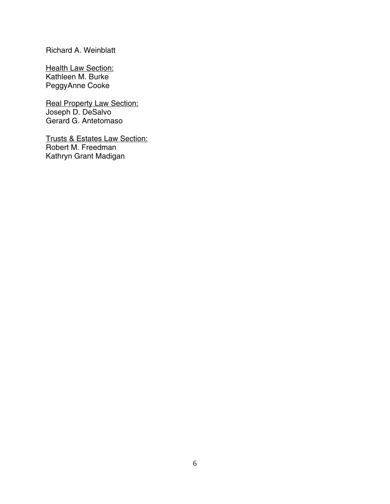# Richard A. Weinblatt

**Health Law Section:** Kathleen M. Burke PeggyAnne Cooke

**Real Property Law Section:** Joseph D. DeSalvo Gerard G. Antetomaso

Trusts & Estates Law Section: Robert M. Freedman Kathryn Grant Madigan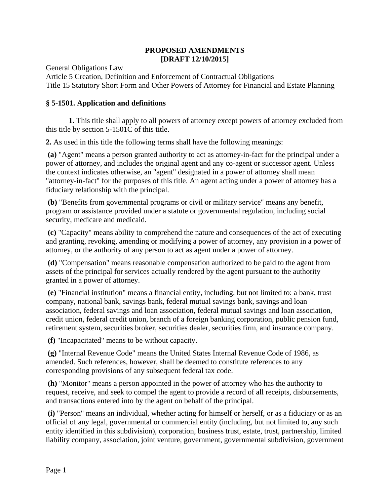#### **PROPOSED AMENDMENTS [DRAFT 12/10/2015]**

General Obligations Law

Article 5 Creation, Definition and Enforcement of Contractual Obligations Title 15 Statutory Short Form and Other Powers of Attorney for Financial and Estate Planning

#### **§ 5-1501. Application and definitions**

**1.** This title shall apply to all powers of attorney except powers of attorney excluded from this title by section 5-1501C of this title.

**2.** As used in this title the following terms shall have the following meanings:

**(a)** "Agent" means a person granted authority to act as attorney-in-fact for the principal under a power of attorney, and includes the original agent and any co-agent or successor agent. Unless the context indicates otherwise, an "agent" designated in a power of attorney shall mean "attorney-in-fact" for the purposes of this title. An agent acting under a power of attorney has a fiduciary relationship with the principal.

**(b)** "Benefits from governmental programs or civil or military service" means any benefit, program or assistance provided under a statute or governmental regulation, including social security, medicare and medicaid.

**(c)** "Capacity" means ability to comprehend the nature and consequences of the act of executing and granting, revoking, amending or modifying a power of attorney, any provision in a power of attorney, or the authority of any person to act as agent under a power of attorney.

**(d)** "Compensation" means reasonable compensation authorized to be paid to the agent from assets of the principal for services actually rendered by the agent pursuant to the authority granted in a power of attorney.

**(e)** "Financial institution" means a financial entity, including, but not limited to: a bank, trust company, national bank, savings bank, federal mutual savings bank, savings and loan association, federal savings and loan association, federal mutual savings and loan association, credit union, federal credit union, branch of a foreign banking corporation, public pension fund, retirement system, securities broker, securities dealer, securities firm, and insurance company.

**(f)** "Incapacitated" means to be without capacity.

**(g)** "Internal Revenue Code" means the United States Internal Revenue Code of 1986, as amended. Such references, however, shall be deemed to constitute references to any corresponding provisions of any subsequent federal tax code.

**(h)** "Monitor" means a person appointed in the power of attorney who has the authority to request, receive, and seek to compel the agent to provide a record of all receipts, disbursements, and transactions entered into by the agent on behalf of the principal.

**(i)** "Person" means an individual, whether acting for himself or herself, or as a fiduciary or as an official of any legal, governmental or commercial entity (including, but not limited to, any such entity identified in this subdivision), corporation, business trust, estate, trust, partnership, limited liability company, association, joint venture, government, governmental subdivision, government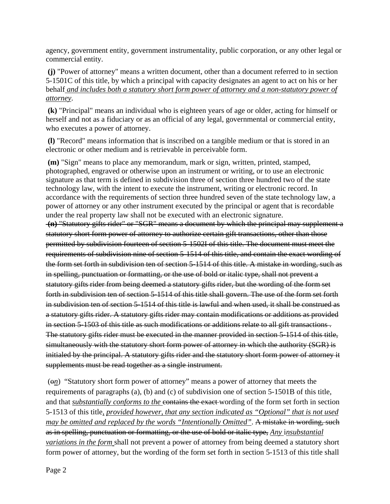agency, government entity, government instrumentality, public corporation, or any other legal or commercial entity.

**(j)** "Power of attorney" means a written document, other than a document referred to in section 5-1501C of this title, by which a principal with capacity designates an agent to act on his or her behalf *and includes both a statutory short form power of attorney and a non-statutory power of attorney*.

**(k)** "Principal" means an individual who is eighteen years of age or older, acting for himself or herself and not as a fiduciary or as an official of any legal, governmental or commercial entity, who executes a power of attorney.

**(l)** "Record" means information that is inscribed on a tangible medium or that is stored in an electronic or other medium and is retrievable in perceivable form.

**(m)** "Sign" means to place any memorandum, mark or sign, written, printed, stamped, photographed, engraved or otherwise upon an instrument or writing, or to use an electronic signature as that term is defined in subdivision three of section three hundred two of the state technology law, with the intent to execute the instrument, writing or electronic record. In accordance with the requirements of section three hundred seven of the state technology law, a power of attorney or any other instrument executed by the principal or agent that is recordable under the real property law shall not be executed with an electronic signature. **(n)** "Statutory gifts rider" or "SGR" means a document by which the principal may supplement a statutory short form power of attorney to authorize certain gift transactions, other than those permitted by subdivision fourteen of section 5-1502I of this title. The document must meet the

requirements of subdivision nine of section 5-1514 of this title, and contain the exact wording of the form set forth in subdivision ten of section 5-1514 of this title. A mistake in wording, such as in spelling, punctuation or formatting, or the use of bold or italic type, shall not prevent a statutory gifts rider from being deemed a statutory gifts rider, but the wording of the form set forth in subdivision ten of section 5-1514 of this title shall govern. The use of the form set forth in subdivision ten of section 5-1514 of this title is lawful and when used, it shall be construed as a statutory gifts rider. A statutory gifts rider may contain modifications or additions as provided in section 5-1503 of this title as such modifications or additions relate to all gift transactions . The statutory gifts rider must be executed in the manner provided in section 5-1514 of this title, simultaneously with the statutory short form power of attorney in which the authority (SGR) is initialed by the principal. A statutory gifts rider and the statutory short form power of attorney it supplements must be read together as a single instrument.

 (o*n*) "Statutory short form power of attorney" means a power of attorney that meets the requirements of paragraphs (a), (b) and (c) of subdivision one of section 5-1501B of this title, and that *substantially conforms to the* contains the exact wording of the form set forth in section 5-1513 of this title*, provided however, that any section indicated as "Optional" that is not used may be omitted and replaced by the words "Intentionally Omitted"*. A mistake in wording, such as in spelling, punctuation or formatting, or the use of bold or italic type, *Any* i*nsubstantial variations in the form* shall not prevent a power of attorney from being deemed a statutory short form power of attorney, but the wording of the form set forth in section 5-1513 of this title shall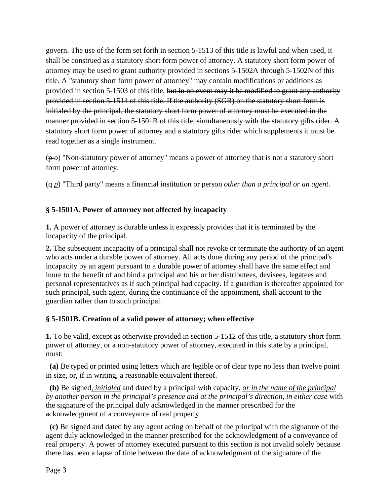govern. The use of the form set forth in section 5-1513 of this title is lawful and when used, it shall be construed as a statutory short form power of attorney. A statutory short form power of attorney may be used to grant authority provided in sections 5-1502A through 5-1502N of this title. A "statutory short form power of attorney" may contain modifications or additions as provided in section 5-1503 of this title, but in no event may it be modified to grant any authority provided in section 5-1514 of this title. If the authority (SGR) on the statutory short form is initialed by the principal, the statutory short form power of attorney must be executed in the manner provided in section 5-1501B of this title, simultaneously with the statutory gifts rider. A statutory short form power of attorney and a statutory gifts rider which supplements it must be read together as a single instrument.

(p *o*) "Non-statutory power of attorney" means a power of attorney that is not a statutory short form power of attorney.

(q *p*) "Third party" means a financial institution or person *other than a principal or an agent*.

#### **§ 5-1501A. Power of attorney not affected by incapacity**

**1.** A power of attorney is durable unless it expressly provides that it is terminated by the incapacity of the principal.

**2.** The subsequent incapacity of a principal shall not revoke or terminate the authority of an agent who acts under a durable power of attorney. All acts done during any period of the principal's incapacity by an agent pursuant to a durable power of attorney shall have the same effect and inure to the benefit of and bind a principal and his or her distributees, devisees, legatees and personal representatives as if such principal had capacity. If a guardian is thereafter appointed for such principal, such agent, during the continuance of the appointment, shall account to the guardian rather than to such principal.

#### **§ 5-1501B. Creation of a valid power of attorney; when effective**

**1.** To be valid, except as otherwise provided in section 5-1512 of this title, a statutory short form power of attorney, or a non-statutory power of attorney, executed in this state by a principal, must:

 **(a)** Be typed or printed using letters which are legible or of clear type no less than twelve point in size, or, if in writing, a reasonable equivalent thereof.

 **(b)** Be signed*, initialed* and dated by a principal with capacity, *or in the name of the principal by another person in the principal's presence and at the principal's direction, in either case* with the signature of the principal duly acknowledged in the manner prescribed for the acknowledgment of a conveyance of real property.

 **(c)** Be signed and dated by any agent acting on behalf of the principal with the signature of the agent duly acknowledged in the manner prescribed for the acknowledgment of a conveyance of real property. A power of attorney executed pursuant to this section is not invalid solely because there has been a lapse of time between the date of acknowledgment of the signature of the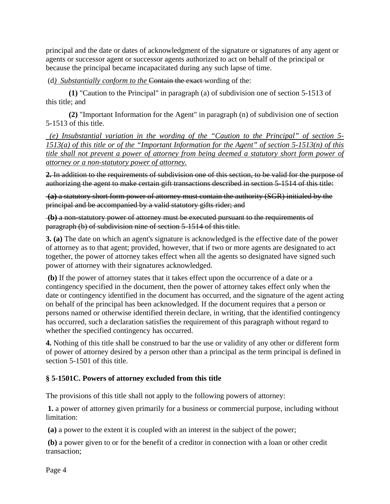principal and the date or dates of acknowledgment of the signature or signatures of any agent or agents or successor agent or successor agents authorized to act on behalf of the principal or because the principal became incapacitated during any such lapse of time.

(d) Substantially conform to the **Contain the exact** wording of the:

 **(1)** "Caution to the Principal" in paragraph (a) of subdivision one of section 5-1513 of this title; and

 **(2)** "Important Information for the Agent" in paragraph (n) of subdivision one of section 5-1513 of this title.

 *(e) Insubstantial variation in the wording of the "Caution to the Principal" of section 5- 1513(a) of this title or of the "Important Information for the Agent" of section 5-1513(n) of this title shall not prevent a power of attorney from being deemed a statutory short form power of attorney or a non-statutory power of attorney.* 

**2.** In addition to the requirements of subdivision one of this section, to be valid for the purpose of authorizing the agent to make certain gift transactions described in section 5-1514 of this title:

**(a)** a statutory short form power of attorney must contain the authority (SGR) initialed by the principal and be accompanied by a valid statutory gifts rider; and

**(b)** a non-statutory power of attorney must be executed pursuant to the requirements of paragraph (b) of subdivision nine of section 5-1514 of this title.

**3. (a)** The date on which an agent's signature is acknowledged is the effective date of the power of attorney as to that agent; provided, however, that if two or more agents are designated to act together, the power of attorney takes effect when all the agents so designated have signed such power of attorney with their signatures acknowledged.

**(b)** If the power of attorney states that it takes effect upon the occurrence of a date or a contingency specified in the document, then the power of attorney takes effect only when the date or contingency identified in the document has occurred, and the signature of the agent acting on behalf of the principal has been acknowledged. If the document requires that a person or persons named or otherwise identified therein declare, in writing, that the identified contingency has occurred, such a declaration satisfies the requirement of this paragraph without regard to whether the specified contingency has occurred.

**4.** Nothing of this title shall be construed to bar the use or validity of any other or different form of power of attorney desired by a person other than a principal as the term principal is defined in section 5-1501 of this title.

# **§ 5-1501C. Powers of attorney excluded from this title**

The provisions of this title shall not apply to the following powers of attorney:

**1.** a power of attorney given primarily for a business or commercial purpose, including without limitation:

**(a)** a power to the extent it is coupled with an interest in the subject of the power;

**(b)** a power given to or for the benefit of a creditor in connection with a loan or other credit transaction;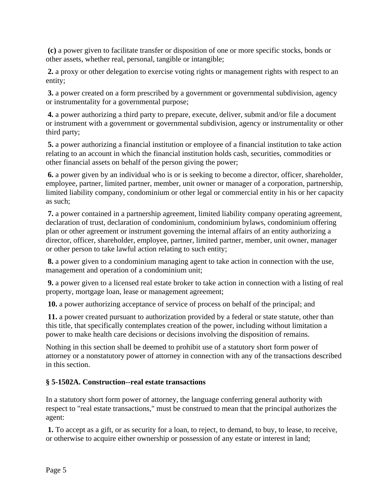**(c)** a power given to facilitate transfer or disposition of one or more specific stocks, bonds or other assets, whether real, personal, tangible or intangible;

**2.** a proxy or other delegation to exercise voting rights or management rights with respect to an entity;

**3.** a power created on a form prescribed by a government or governmental subdivision, agency or instrumentality for a governmental purpose;

**4.** a power authorizing a third party to prepare, execute, deliver, submit and/or file a document or instrument with a government or governmental subdivision, agency or instrumentality or other third party;

**5.** a power authorizing a financial institution or employee of a financial institution to take action relating to an account in which the financial institution holds cash, securities, commodities or other financial assets on behalf of the person giving the power;

**6.** a power given by an individual who is or is seeking to become a director, officer, shareholder, employee, partner, limited partner, member, unit owner or manager of a corporation, partnership, limited liability company, condominium or other legal or commercial entity in his or her capacity as such;

**7.** a power contained in a partnership agreement, limited liability company operating agreement, declaration of trust, declaration of condominium, condominium bylaws, condominium offering plan or other agreement or instrument governing the internal affairs of an entity authorizing a director, officer, shareholder, employee, partner, limited partner, member, unit owner, manager or other person to take lawful action relating to such entity;

**8.** a power given to a condominium managing agent to take action in connection with the use, management and operation of a condominium unit;

**9.** a power given to a licensed real estate broker to take action in connection with a listing of real property, mortgage loan, lease or management agreement;

**10.** a power authorizing acceptance of service of process on behalf of the principal; and

**11.** a power created pursuant to authorization provided by a federal or state statute, other than this title, that specifically contemplates creation of the power, including without limitation a power to make health care decisions or decisions involving the disposition of remains.

Nothing in this section shall be deemed to prohibit use of a statutory short form power of attorney or a nonstatutory power of attorney in connection with any of the transactions described in this section.

# **§ 5-1502A. Construction--real estate transactions**

In a statutory short form power of attorney, the language conferring general authority with respect to "real estate transactions," must be construed to mean that the principal authorizes the agent:

**1.** To accept as a gift, or as security for a loan, to reject, to demand, to buy, to lease, to receive, or otherwise to acquire either ownership or possession of any estate or interest in land;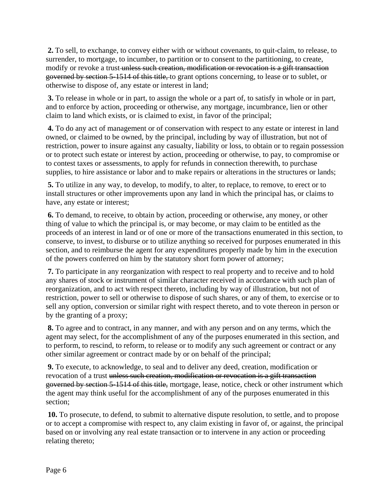**2.** To sell, to exchange, to convey either with or without covenants, to quit-claim, to release, to surrender, to mortgage, to incumber, to partition or to consent to the partitioning, to create, modify or revoke a trust-unless such creation, modification or revocation is a gift transaction governed by section 5-1514 of this title, to grant options concerning, to lease or to sublet, or otherwise to dispose of, any estate or interest in land;

**3.** To release in whole or in part, to assign the whole or a part of, to satisfy in whole or in part, and to enforce by action, proceeding or otherwise, any mortgage, incumbrance, lien or other claim to land which exists, or is claimed to exist, in favor of the principal;

**4.** To do any act of management or of conservation with respect to any estate or interest in land owned, or claimed to be owned, by the principal, including by way of illustration, but not of restriction, power to insure against any casualty, liability or loss, to obtain or to regain possession or to protect such estate or interest by action, proceeding or otherwise, to pay, to compromise or to contest taxes or assessments, to apply for refunds in connection therewith, to purchase supplies, to hire assistance or labor and to make repairs or alterations in the structures or lands;

**5.** To utilize in any way, to develop, to modify, to alter, to replace, to remove, to erect or to install structures or other improvements upon any land in which the principal has, or claims to have, any estate or interest;

**6.** To demand, to receive, to obtain by action, proceeding or otherwise, any money, or other thing of value to which the principal is, or may become, or may claim to be entitled as the proceeds of an interest in land or of one or more of the transactions enumerated in this section, to conserve, to invest, to disburse or to utilize anything so received for purposes enumerated in this section, and to reimburse the agent for any expenditures properly made by him in the execution of the powers conferred on him by the statutory short form power of attorney;

**7.** To participate in any reorganization with respect to real property and to receive and to hold any shares of stock or instrument of similar character received in accordance with such plan of reorganization, and to act with respect thereto, including by way of illustration, but not of restriction, power to sell or otherwise to dispose of such shares, or any of them, to exercise or to sell any option, conversion or similar right with respect thereto, and to vote thereon in person or by the granting of a proxy;

**8.** To agree and to contract, in any manner, and with any person and on any terms, which the agent may select, for the accomplishment of any of the purposes enumerated in this section, and to perform, to rescind, to reform, to release or to modify any such agreement or contract or any other similar agreement or contract made by or on behalf of the principal;

**9.** To execute, to acknowledge, to seal and to deliver any deed, creation, modification or revocation of a trust unless such creation, modification or revocation is a gift transaction governed by section 5-1514 of this title, mortgage, lease, notice, check or other instrument which the agent may think useful for the accomplishment of any of the purposes enumerated in this section;

**10.** To prosecute, to defend, to submit to alternative dispute resolution, to settle, and to propose or to accept a compromise with respect to, any claim existing in favor of, or against, the principal based on or involving any real estate transaction or to intervene in any action or proceeding relating thereto;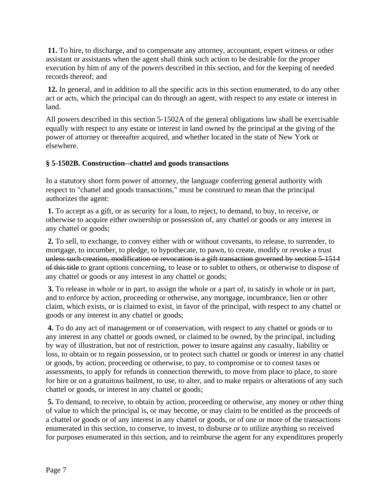**11.** To hire, to discharge, and to compensate any attorney, accountant, expert witness or other assistant or assistants when the agent shall think such action to be desirable for the proper execution by him of any of the powers described in this section, and for the keeping of needed records thereof; and

**12.** In general, and in addition to all the specific acts in this section enumerated, to do any other act or acts, which the principal can do through an agent, with respect to any estate or interest in land.

All powers described in this section 5-1502A of the general obligations law shall be exercisable equally with respect to any estate or interest in land owned by the principal at the giving of the power of attorney or thereafter acquired, and whether located in the state of New York or elsewhere.

#### **§ 5-1502B. Construction--chattel and goods transactions**

In a statutory short form power of attorney, the language conferring general authority with respect to "chattel and goods transactions," must be construed to mean that the principal authorizes the agent:

**1.** To accept as a gift, or as security for a loan, to reject, to demand, to buy, to receive, or otherwise to acquire either ownership or possession of, any chattel or goods or any interest in any chattel or goods;

**2.** To sell, to exchange, to convey either with or without covenants, to release, to surrender, to mortgage, to incumber, to pledge, to hypothecate, to pawn, to create, modify or revoke a trust unless such creation, modification or revocation is a gift transaction governed by section 5-1514 of this title to grant options concerning, to lease or to sublet to others, or otherwise to dispose of any chattel or goods or any interest in any chattel or goods;

**3.** To release in whole or in part, to assign the whole or a part of, to satisfy in whole or in part, and to enforce by action, proceeding or otherwise, any mortgage, incumbrance, lien or other claim, which exists, or is claimed to exist, in favor of the principal, with respect to any chattel or goods or any interest in any chattel or goods;

**4.** To do any act of management or of conservation, with respect to any chattel or goods or to any interest in any chattel or goods owned, or claimed to be owned, by the principal, including by way of illustration, but not of restriction, power to insure against any casualty, liability or loss, to obtain or to regain possession, or to protect such chattel or goods or interest in any chattel or goods, by action, proceeding or otherwise, to pay, to compromise or to contest taxes or assessments, to apply for refunds in connection therewith, to move from place to place, to store for hire or on a gratuitous bailment, to use, to alter, and to make repairs or alterations of any such chattel or goods, or interest in any chattel or goods;

**5.** To demand, to receive, to obtain by action, proceeding or otherwise, any money or other thing of value to which the principal is, or may become, or may claim to be entitled as the proceeds of a chattel or goods or of any interest in any chattel or goods, or of one or more of the transactions enumerated in this section, to conserve, to invest, to disburse or to utilize anything so received for purposes enumerated in this section, and to reimburse the agent for any expenditures properly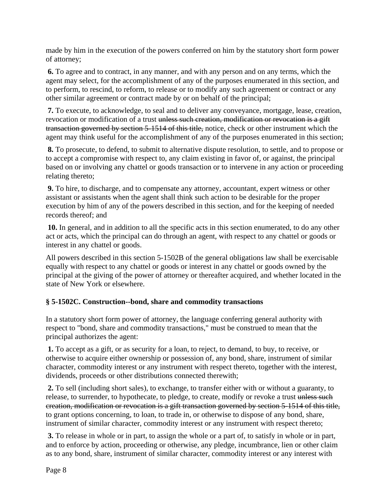made by him in the execution of the powers conferred on him by the statutory short form power of attorney;

**6.** To agree and to contract, in any manner, and with any person and on any terms, which the agent may select, for the accomplishment of any of the purposes enumerated in this section, and to perform, to rescind, to reform, to release or to modify any such agreement or contract or any other similar agreement or contract made by or on behalf of the principal;

**7.** To execute, to acknowledge, to seal and to deliver any conveyance, mortgage, lease, creation, revocation or modification of a trust unless such creation, modification or revocation is a gift transaction governed by section 5-1514 of this title, notice, check or other instrument which the agent may think useful for the accomplishment of any of the purposes enumerated in this section;

**8.** To prosecute, to defend, to submit to alternative dispute resolution, to settle, and to propose or to accept a compromise with respect to, any claim existing in favor of, or against, the principal based on or involving any chattel or goods transaction or to intervene in any action or proceeding relating thereto;

**9.** To hire, to discharge, and to compensate any attorney, accountant, expert witness or other assistant or assistants when the agent shall think such action to be desirable for the proper execution by him of any of the powers described in this section, and for the keeping of needed records thereof; and

**10.** In general, and in addition to all the specific acts in this section enumerated, to do any other act or acts, which the principal can do through an agent, with respect to any chattel or goods or interest in any chattel or goods.

All powers described in this section 5-1502B of the general obligations law shall be exercisable equally with respect to any chattel or goods or interest in any chattel or goods owned by the principal at the giving of the power of attorney or thereafter acquired, and whether located in the state of New York or elsewhere.

#### **§ 5-1502C. Construction--bond, share and commodity transactions**

In a statutory short form power of attorney, the language conferring general authority with respect to "bond, share and commodity transactions," must be construed to mean that the principal authorizes the agent:

**1.** To accept as a gift, or as security for a loan, to reject, to demand, to buy, to receive, or otherwise to acquire either ownership or possession of, any bond, share, instrument of similar character, commodity interest or any instrument with respect thereto, together with the interest, dividends, proceeds or other distributions connected therewith;

**2.** To sell (including short sales), to exchange, to transfer either with or without a guaranty, to release, to surrender, to hypothecate, to pledge, to create, modify or revoke a trust unless such creation, modification or revocation is a gift transaction governed by section 5-1514 of this title, to grant options concerning, to loan, to trade in, or otherwise to dispose of any bond, share, instrument of similar character, commodity interest or any instrument with respect thereto;

**3.** To release in whole or in part, to assign the whole or a part of, to satisfy in whole or in part, and to enforce by action, proceeding or otherwise, any pledge, incumbrance, lien or other claim as to any bond, share, instrument of similar character, commodity interest or any interest with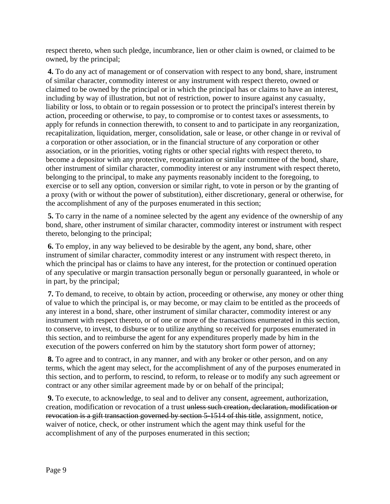respect thereto, when such pledge, incumbrance, lien or other claim is owned, or claimed to be owned, by the principal;

**4.** To do any act of management or of conservation with respect to any bond, share, instrument of similar character, commodity interest or any instrument with respect thereto, owned or claimed to be owned by the principal or in which the principal has or claims to have an interest, including by way of illustration, but not of restriction, power to insure against any casualty, liability or loss, to obtain or to regain possession or to protect the principal's interest therein by action, proceeding or otherwise, to pay, to compromise or to contest taxes or assessments, to apply for refunds in connection therewith, to consent to and to participate in any reorganization, recapitalization, liquidation, merger, consolidation, sale or lease, or other change in or revival of a corporation or other association, or in the financial structure of any corporation or other association, or in the priorities, voting rights or other special rights with respect thereto, to become a depositor with any protective, reorganization or similar committee of the bond, share, other instrument of similar character, commodity interest or any instrument with respect thereto, belonging to the principal, to make any payments reasonably incident to the foregoing, to exercise or to sell any option, conversion or similar right, to vote in person or by the granting of a proxy (with or without the power of substitution), either discretionary, general or otherwise, for the accomplishment of any of the purposes enumerated in this section;

**5.** To carry in the name of a nominee selected by the agent any evidence of the ownership of any bond, share, other instrument of similar character, commodity interest or instrument with respect thereto, belonging to the principal;

**6.** To employ, in any way believed to be desirable by the agent, any bond, share, other instrument of similar character, commodity interest or any instrument with respect thereto, in which the principal has or claims to have any interest, for the protection or continued operation of any speculative or margin transaction personally begun or personally guaranteed, in whole or in part, by the principal;

**7.** To demand, to receive, to obtain by action, proceeding or otherwise, any money or other thing of value to which the principal is, or may become, or may claim to be entitled as the proceeds of any interest in a bond, share, other instrument of similar character, commodity interest or any instrument with respect thereto, or of one or more of the transactions enumerated in this section, to conserve, to invest, to disburse or to utilize anything so received for purposes enumerated in this section, and to reimburse the agent for any expenditures properly made by him in the execution of the powers conferred on him by the statutory short form power of attorney;

**8.** To agree and to contract, in any manner, and with any broker or other person, and on any terms, which the agent may select, for the accomplishment of any of the purposes enumerated in this section, and to perform, to rescind, to reform, to release or to modify any such agreement or contract or any other similar agreement made by or on behalf of the principal;

**9.** To execute, to acknowledge, to seal and to deliver any consent, agreement, authorization, creation, modification or revocation of a trust unless such creation, declaration, modification or revocation is a gift transaction governed by section 5-1514 of this title, assignment, notice, waiver of notice, check, or other instrument which the agent may think useful for the accomplishment of any of the purposes enumerated in this section;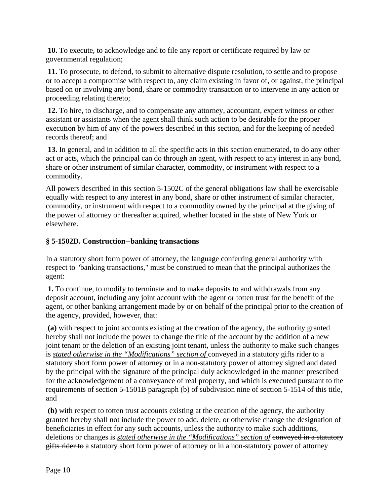**10.** To execute, to acknowledge and to file any report or certificate required by law or governmental regulation;

**11.** To prosecute, to defend, to submit to alternative dispute resolution, to settle and to propose or to accept a compromise with respect to, any claim existing in favor of, or against, the principal based on or involving any bond, share or commodity transaction or to intervene in any action or proceeding relating thereto;

**12.** To hire, to discharge, and to compensate any attorney, accountant, expert witness or other assistant or assistants when the agent shall think such action to be desirable for the proper execution by him of any of the powers described in this section, and for the keeping of needed records thereof; and

**13.** In general, and in addition to all the specific acts in this section enumerated, to do any other act or acts, which the principal can do through an agent, with respect to any interest in any bond, share or other instrument of similar character, commodity, or instrument with respect to a commodity.

All powers described in this section 5-1502C of the general obligations law shall be exercisable equally with respect to any interest in any bond, share or other instrument of similar character, commodity, or instrument with respect to a commodity owned by the principal at the giving of the power of attorney or thereafter acquired, whether located in the state of New York or elsewhere.

#### **§ 5-1502D. Construction--banking transactions**

In a statutory short form power of attorney, the language conferring general authority with respect to "banking transactions," must be construed to mean that the principal authorizes the agent:

**1.** To continue, to modify to terminate and to make deposits to and withdrawals from any deposit account, including any joint account with the agent or totten trust for the benefit of the agent, or other banking arrangement made by or on behalf of the principal prior to the creation of the agency, provided, however, that:

**(a)** with respect to joint accounts existing at the creation of the agency, the authority granted hereby shall not include the power to change the title of the account by the addition of a new joint tenant or the deletion of an existing joint tenant, unless the authority to make such changes is *stated otherwise in the "Modifications" section of* conveyed in a statutory gifts rider to a statutory short form power of attorney or in a non-statutory power of attorney signed and dated by the principal with the signature of the principal duly acknowledged in the manner prescribed for the acknowledgement of a conveyance of real property, and which is executed pursuant to the requirements of section 5-1501B paragraph (b) of subdivision nine of section 5-1514 of this title, and

**(b)** with respect to totten trust accounts existing at the creation of the agency, the authority granted hereby shall not include the power to add, delete, or otherwise change the designation of beneficiaries in effect for any such accounts, unless the authority to make such additions, deletions or changes is *stated otherwise in the "Modifications" section of* conveyed in a statutory gifts rider to a statutory short form power of attorney or in a non-statutory power of attorney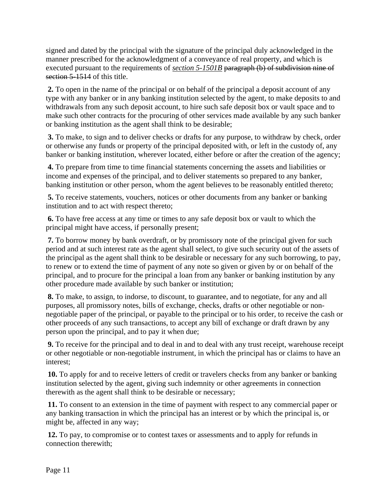signed and dated by the principal with the signature of the principal duly acknowledged in the manner prescribed for the acknowledgment of a conveyance of real property, and which is executed pursuant to the requirements of *section* 5-1501B paragraph (b) of subdivision nine of section 5-1514 of this title.

**2.** To open in the name of the principal or on behalf of the principal a deposit account of any type with any banker or in any banking institution selected by the agent, to make deposits to and withdrawals from any such deposit account, to hire such safe deposit box or vault space and to make such other contracts for the procuring of other services made available by any such banker or banking institution as the agent shall think to be desirable;

**3.** To make, to sign and to deliver checks or drafts for any purpose, to withdraw by check, order or otherwise any funds or property of the principal deposited with, or left in the custody of, any banker or banking institution, wherever located, either before or after the creation of the agency;

**4.** To prepare from time to time financial statements concerning the assets and liabilities or income and expenses of the principal, and to deliver statements so prepared to any banker, banking institution or other person, whom the agent believes to be reasonably entitled thereto;

**5.** To receive statements, vouchers, notices or other documents from any banker or banking institution and to act with respect thereto;

**6.** To have free access at any time or times to any safe deposit box or vault to which the principal might have access, if personally present;

**7.** To borrow money by bank overdraft, or by promissory note of the principal given for such period and at such interest rate as the agent shall select, to give such security out of the assets of the principal as the agent shall think to be desirable or necessary for any such borrowing, to pay, to renew or to extend the time of payment of any note so given or given by or on behalf of the principal, and to procure for the principal a loan from any banker or banking institution by any other procedure made available by such banker or institution;

**8.** To make, to assign, to indorse, to discount, to guarantee, and to negotiate, for any and all purposes, all promissory notes, bills of exchange, checks, drafts or other negotiable or nonnegotiable paper of the principal, or payable to the principal or to his order, to receive the cash or other proceeds of any such transactions, to accept any bill of exchange or draft drawn by any person upon the principal, and to pay it when due;

**9.** To receive for the principal and to deal in and to deal with any trust receipt, warehouse receipt or other negotiable or non-negotiable instrument, in which the principal has or claims to have an interest;

**10.** To apply for and to receive letters of credit or travelers checks from any banker or banking institution selected by the agent, giving such indemnity or other agreements in connection therewith as the agent shall think to be desirable or necessary;

**11.** To consent to an extension in the time of payment with respect to any commercial paper or any banking transaction in which the principal has an interest or by which the principal is, or might be, affected in any way;

**12.** To pay, to compromise or to contest taxes or assessments and to apply for refunds in connection therewith;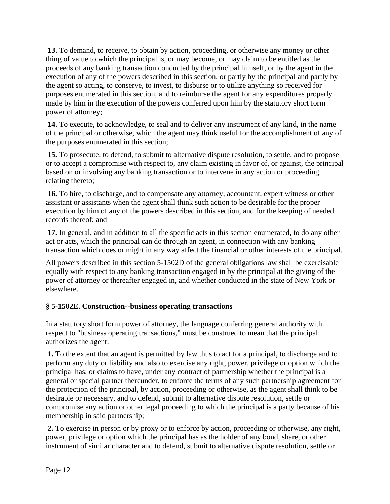**13.** To demand, to receive, to obtain by action, proceeding, or otherwise any money or other thing of value to which the principal is, or may become, or may claim to be entitled as the proceeds of any banking transaction conducted by the principal himself, or by the agent in the execution of any of the powers described in this section, or partly by the principal and partly by the agent so acting, to conserve, to invest, to disburse or to utilize anything so received for purposes enumerated in this section, and to reimburse the agent for any expenditures properly made by him in the execution of the powers conferred upon him by the statutory short form power of attorney;

**14.** To execute, to acknowledge, to seal and to deliver any instrument of any kind, in the name of the principal or otherwise, which the agent may think useful for the accomplishment of any of the purposes enumerated in this section;

**15.** To prosecute, to defend, to submit to alternative dispute resolution, to settle, and to propose or to accept a compromise with respect to, any claim existing in favor of, or against, the principal based on or involving any banking transaction or to intervene in any action or proceeding relating thereto;

**16.** To hire, to discharge, and to compensate any attorney, accountant, expert witness or other assistant or assistants when the agent shall think such action to be desirable for the proper execution by him of any of the powers described in this section, and for the keeping of needed records thereof; and

**17.** In general, and in addition to all the specific acts in this section enumerated, to do any other act or acts, which the principal can do through an agent, in connection with any banking transaction which does or might in any way affect the financial or other interests of the principal.

All powers described in this section 5-1502D of the general obligations law shall be exercisable equally with respect to any banking transaction engaged in by the principal at the giving of the power of attorney or thereafter engaged in, and whether conducted in the state of New York or elsewhere.

# **§ 5-1502E. Construction--business operating transactions**

In a statutory short form power of attorney, the language conferring general authority with respect to "business operating transactions," must be construed to mean that the principal authorizes the agent:

**1.** To the extent that an agent is permitted by law thus to act for a principal, to discharge and to perform any duty or liability and also to exercise any right, power, privilege or option which the principal has, or claims to have, under any contract of partnership whether the principal is a general or special partner thereunder, to enforce the terms of any such partnership agreement for the protection of the principal, by action, proceeding or otherwise, as the agent shall think to be desirable or necessary, and to defend, submit to alternative dispute resolution, settle or compromise any action or other legal proceeding to which the principal is a party because of his membership in said partnership;

**2.** To exercise in person or by proxy or to enforce by action, proceeding or otherwise, any right, power, privilege or option which the principal has as the holder of any bond, share, or other instrument of similar character and to defend, submit to alternative dispute resolution, settle or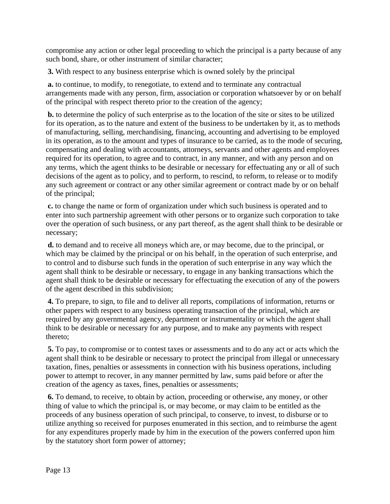compromise any action or other legal proceeding to which the principal is a party because of any such bond, share, or other instrument of similar character;

**3.** With respect to any business enterprise which is owned solely by the principal

**a.** to continue, to modify, to renegotiate, to extend and to terminate any contractual arrangements made with any person, firm, association or corporation whatsoever by or on behalf of the principal with respect thereto prior to the creation of the agency;

**b.** to determine the policy of such enterprise as to the location of the site or sites to be utilized for its operation, as to the nature and extent of the business to be undertaken by it, as to methods of manufacturing, selling, merchandising, financing, accounting and advertising to be employed in its operation, as to the amount and types of insurance to be carried, as to the mode of securing, compensating and dealing with accountants, attorneys, servants and other agents and employees required for its operation, to agree and to contract, in any manner, and with any person and on any terms, which the agent thinks to be desirable or necessary for effectuating any or all of such decisions of the agent as to policy, and to perform, to rescind, to reform, to release or to modify any such agreement or contract or any other similar agreement or contract made by or on behalf of the principal;

**c.** to change the name or form of organization under which such business is operated and to enter into such partnership agreement with other persons or to organize such corporation to take over the operation of such business, or any part thereof, as the agent shall think to be desirable or necessary;

**d.** to demand and to receive all moneys which are, or may become, due to the principal, or which may be claimed by the principal or on his behalf, in the operation of such enterprise, and to control and to disburse such funds in the operation of such enterprise in any way which the agent shall think to be desirable or necessary, to engage in any banking transactions which the agent shall think to be desirable or necessary for effectuating the execution of any of the powers of the agent described in this subdivision;

**4.** To prepare, to sign, to file and to deliver all reports, compilations of information, returns or other papers with respect to any business operating transaction of the principal, which are required by any governmental agency, department or instrumentality or which the agent shall think to be desirable or necessary for any purpose, and to make any payments with respect thereto;

**5.** To pay, to compromise or to contest taxes or assessments and to do any act or acts which the agent shall think to be desirable or necessary to protect the principal from illegal or unnecessary taxation, fines, penalties or assessments in connection with his business operations, including power to attempt to recover, in any manner permitted by law, sums paid before or after the creation of the agency as taxes, fines, penalties or assessments;

**6.** To demand, to receive, to obtain by action, proceeding or otherwise, any money, or other thing of value to which the principal is, or may become, or may claim to be entitled as the proceeds of any business operation of such principal, to conserve, to invest, to disburse or to utilize anything so received for purposes enumerated in this section, and to reimburse the agent for any expenditures properly made by him in the execution of the powers conferred upon him by the statutory short form power of attorney;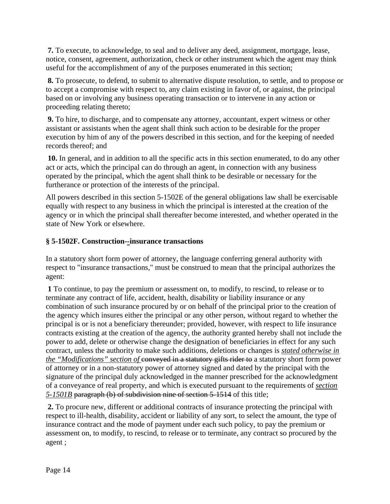**7.** To execute, to acknowledge, to seal and to deliver any deed, assignment, mortgage, lease, notice, consent, agreement, authorization, check or other instrument which the agent may think useful for the accomplishment of any of the purposes enumerated in this section;

**8.** To prosecute, to defend, to submit to alternative dispute resolution, to settle, and to propose or to accept a compromise with respect to, any claim existing in favor of, or against, the principal based on or involving any business operating transaction or to intervene in any action or proceeding relating thereto;

**9.** To hire, to discharge, and to compensate any attorney, accountant, expert witness or other assistant or assistants when the agent shall think such action to be desirable for the proper execution by him of any of the powers described in this section, and for the keeping of needed records thereof; and

**10.** In general, and in addition to all the specific acts in this section enumerated, to do any other act or acts, which the principal can do through an agent, in connection with any business operated by the principal, which the agent shall think to be desirable or necessary for the furtherance or protection of the interests of the principal.

All powers described in this section 5-1502E of the general obligations law shall be exercisable equally with respect to any business in which the principal is interested at the creation of the agency or in which the principal shall thereafter become interested, and whether operated in the state of New York or elsewhere.

#### **§ 5-1502F. Construction-***-***insurance transactions**

In a statutory short form power of attorney, the language conferring general authority with respect to "insurance transactions," must be construed to mean that the principal authorizes the agent:

**1** To continue, to pay the premium or assessment on, to modify, to rescind, to release or to terminate any contract of life, accident, health, disability or liability insurance or any combination of such insurance procured by or on behalf of the principal prior to the creation of the agency which insures either the principal or any other person, without regard to whether the principal is or is not a beneficiary thereunder; provided, however, with respect to life insurance contracts existing at the creation of the agency, the authority granted hereby shall not include the power to add, delete or otherwise change the designation of beneficiaries in effect for any such contract, unless the authority to make such additions, deletions or changes is *stated otherwise in the "Modifications" section of conveyed in a statutory gifts rider to a statutory short form power* of attorney or in a non-statutory power of attorney signed and dated by the principal with the signature of the principal duly acknowledged in the manner prescribed for the acknowledgment of a conveyance of real property, and which is executed pursuant to the requirements of *section 5-1501B* paragraph (b) of subdivision nine of section 5-1514 of this title;

**2.** To procure new, different or additional contracts of insurance protecting the principal with respect to ill-health, disability, accident or liability of any sort, to select the amount, the type of insurance contract and the mode of payment under each such policy, to pay the premium or assessment on, to modify, to rescind, to release or to terminate, any contract so procured by the agent ;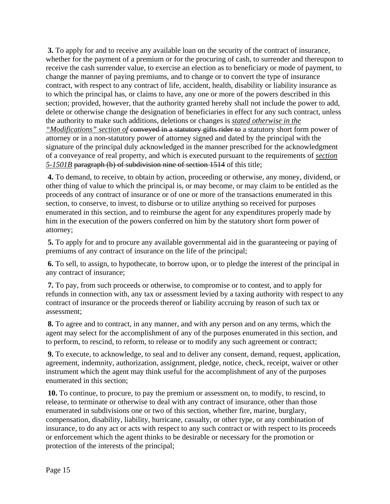**3.** To apply for and to receive any available loan on the security of the contract of insurance, whether for the payment of a premium or for the procuring of cash, to surrender and thereupon to receive the cash surrender value, to exercise an election as to beneficiary or mode of payment, to change the manner of paying premiums, and to change or to convert the type of insurance contract, with respect to any contract of life, accident, health, disability or liability insurance as to which the principal has, or claims to have, any one or more of the powers described in this section; provided, however, that the authority granted hereby shall not include the power to add, delete or otherwise change the designation of beneficiaries in effect for any such contract, unless the authority to make such additions, deletions or changes is *stated otherwise in the "Modifications" section of* conveyed in a statutory gifts rider to a statutory short form power of attorney or in a non-statutory power of attorney signed and dated by the principal with the signature of the principal duly acknowledged in the manner prescribed for the acknowledgment of a conveyance of real property, and which is executed pursuant to the requirements of *section 5-1501B* paragraph (b) of subdivision nine of section 1514 of this title;

**4.** To demand, to receive, to obtain by action, proceeding or otherwise, any money, dividend, or other thing of value to which the principal is, or may become, or may claim to be entitled as the proceeds of any contract of insurance or of one or more of the transactions enumerated in this section, to conserve, to invest, to disburse or to utilize anything so received for purposes enumerated in this section, and to reimburse the agent for any expenditures properly made by him in the execution of the powers conferred on him by the statutory short form power of attorney;

**5.** To apply for and to procure any available governmental aid in the guaranteeing or paying of premiums of any contract of insurance on the life of the principal;

**6.** To sell, to assign, to hypothecate, to borrow upon, or to pledge the interest of the principal in any contract of insurance;

**7.** To pay, from such proceeds or otherwise, to compromise or to contest, and to apply for refunds in connection with, any tax or assessment levied by a taxing authority with respect to any contract of insurance or the proceeds thereof or liability accruing by reason of such tax or assessment;

**8.** To agree and to contract, in any manner, and with any person and on any terms, which the agent may select for the accomplishment of any of the purposes enumerated in this section, and to perform, to rescind, to reform, to release or to modify any such agreement or contract;

**9.** To execute, to acknowledge, to seal and to deliver any consent, demand, request, application, agreement, indemnity, authorization, assignment, pledge, notice, check, receipt, waiver or other instrument which the agent may think useful for the accomplishment of any of the purposes enumerated in this section;

**10.** To continue, to procure, to pay the premium or assessment on, to modify, to rescind, to release, to terminate or otherwise to deal with any contract of insurance, other than those enumerated in subdivisions one or two of this section, whether fire, marine, burglary, compensation, disability, liability, hurricane, casualty, or other type, or any combination of insurance, to do any act or acts with respect to any such contract or with respect to its proceeds or enforcement which the agent thinks to be desirable or necessary for the promotion or protection of the interests of the principal;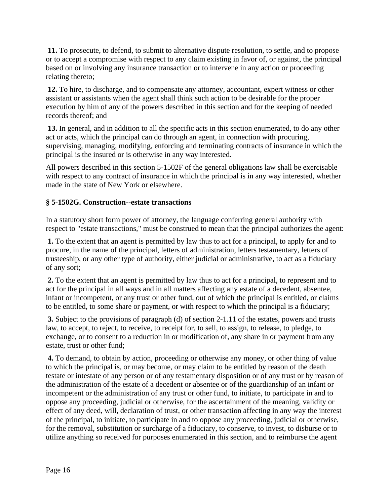**11.** To prosecute, to defend, to submit to alternative dispute resolution, to settle, and to propose or to accept a compromise with respect to any claim existing in favor of, or against, the principal based on or involving any insurance transaction or to intervene in any action or proceeding relating thereto;

**12.** To hire, to discharge, and to compensate any attorney, accountant, expert witness or other assistant or assistants when the agent shall think such action to be desirable for the proper execution by him of any of the powers described in this section and for the keeping of needed records thereof; and

**13.** In general, and in addition to all the specific acts in this section enumerated, to do any other act or acts, which the principal can do through an agent, in connection with procuring, supervising, managing, modifying, enforcing and terminating contracts of insurance in which the principal is the insured or is otherwise in any way interested.

All powers described in this section 5-1502F of the general obligations law shall be exercisable with respect to any contract of insurance in which the principal is in any way interested, whether made in the state of New York or elsewhere.

#### **§ 5-1502G. Construction--estate transactions**

In a statutory short form power of attorney, the language conferring general authority with respect to "estate transactions," must be construed to mean that the principal authorizes the agent:

**1.** To the extent that an agent is permitted by law thus to act for a principal, to apply for and to procure, in the name of the principal, letters of administration, letters testamentary, letters of trusteeship, or any other type of authority, either judicial or administrative, to act as a fiduciary of any sort;

**2.** To the extent that an agent is permitted by law thus to act for a principal, to represent and to act for the principal in all ways and in all matters affecting any estate of a decedent, absentee, infant or incompetent, or any trust or other fund, out of which the principal is entitled, or claims to be entitled, to some share or payment, or with respect to which the principal is a fiduciary;

**3.** Subject to the provisions of paragraph (d) of section 2-1.11 of the estates, powers and trusts law, to accept, to reject, to receive, to receipt for, to sell, to assign, to release, to pledge, to exchange, or to consent to a reduction in or modification of, any share in or payment from any estate, trust or other fund;

**4.** To demand, to obtain by action, proceeding or otherwise any money, or other thing of value to which the principal is, or may become, or may claim to be entitled by reason of the death testate or intestate of any person or of any testamentary disposition or of any trust or by reason of the administration of the estate of a decedent or absentee or of the guardianship of an infant or incompetent or the administration of any trust or other fund, to initiate, to participate in and to oppose any proceeding, judicial or otherwise, for the ascertainment of the meaning, validity or effect of any deed, will, declaration of trust, or other transaction affecting in any way the interest of the principal, to initiate, to participate in and to oppose any proceeding, judicial or otherwise, for the removal, substitution or surcharge of a fiduciary, to conserve, to invest, to disburse or to utilize anything so received for purposes enumerated in this section, and to reimburse the agent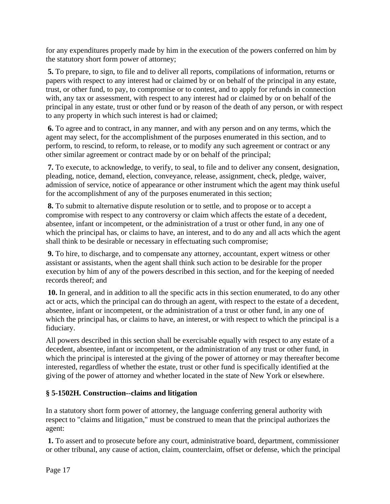for any expenditures properly made by him in the execution of the powers conferred on him by the statutory short form power of attorney;

**5.** To prepare, to sign, to file and to deliver all reports, compilations of information, returns or papers with respect to any interest had or claimed by or on behalf of the principal in any estate, trust, or other fund, to pay, to compromise or to contest, and to apply for refunds in connection with, any tax or assessment, with respect to any interest had or claimed by or on behalf of the principal in any estate, trust or other fund or by reason of the death of any person, or with respect to any property in which such interest is had or claimed;

**6.** To agree and to contract, in any manner, and with any person and on any terms, which the agent may select, for the accomplishment of the purposes enumerated in this section, and to perform, to rescind, to reform, to release, or to modify any such agreement or contract or any other similar agreement or contract made by or on behalf of the principal;

**7.** To execute, to acknowledge, to verify, to seal, to file and to deliver any consent, designation, pleading, notice, demand, election, conveyance, release, assignment, check, pledge, waiver, admission of service, notice of appearance or other instrument which the agent may think useful for the accomplishment of any of the purposes enumerated in this section;

**8.** To submit to alternative dispute resolution or to settle, and to propose or to accept a compromise with respect to any controversy or claim which affects the estate of a decedent, absentee, infant or incompetent, or the administration of a trust or other fund, in any one of which the principal has, or claims to have, an interest, and to do any and all acts which the agent shall think to be desirable or necessary in effectuating such compromise;

**9.** To hire, to discharge, and to compensate any attorney, accountant, expert witness or other assistant or assistants, when the agent shall think such action to be desirable for the proper execution by him of any of the powers described in this section, and for the keeping of needed records thereof; and

**10.** In general, and in addition to all the specific acts in this section enumerated, to do any other act or acts, which the principal can do through an agent, with respect to the estate of a decedent, absentee, infant or incompetent, or the administration of a trust or other fund, in any one of which the principal has, or claims to have, an interest, or with respect to which the principal is a fiduciary.

All powers described in this section shall be exercisable equally with respect to any estate of a decedent, absentee, infant or incompetent, or the administration of any trust or other fund, in which the principal is interested at the giving of the power of attorney or may thereafter become interested, regardless of whether the estate, trust or other fund is specifically identified at the giving of the power of attorney and whether located in the state of New York or elsewhere.

#### **§ 5-1502H. Construction--claims and litigation**

In a statutory short form power of attorney, the language conferring general authority with respect to "claims and litigation," must be construed to mean that the principal authorizes the agent:

**1.** To assert and to prosecute before any court, administrative board, department, commissioner or other tribunal, any cause of action, claim, counterclaim, offset or defense, which the principal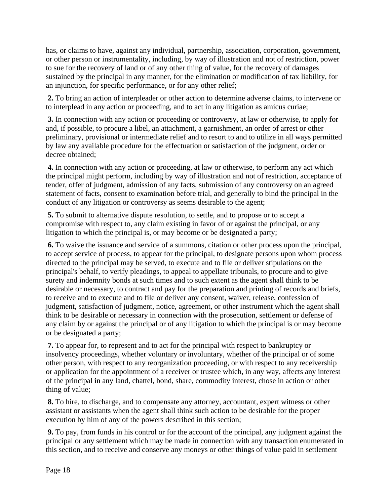has, or claims to have, against any individual, partnership, association, corporation, government, or other person or instrumentality, including, by way of illustration and not of restriction, power to sue for the recovery of land or of any other thing of value, for the recovery of damages sustained by the principal in any manner, for the elimination or modification of tax liability, for an injunction, for specific performance, or for any other relief;

**2.** To bring an action of interpleader or other action to determine adverse claims, to intervene or to interplead in any action or proceeding, and to act in any litigation as amicus curiae;

**3.** In connection with any action or proceeding or controversy, at law or otherwise, to apply for and, if possible, to procure a libel, an attachment, a garnishment, an order of arrest or other preliminary, provisional or intermediate relief and to resort to and to utilize in all ways permitted by law any available procedure for the effectuation or satisfaction of the judgment, order or decree obtained;

**4.** In connection with any action or proceeding, at law or otherwise, to perform any act which the principal might perform, including by way of illustration and not of restriction, acceptance of tender, offer of judgment, admission of any facts, submission of any controversy on an agreed statement of facts, consent to examination before trial, and generally to bind the principal in the conduct of any litigation or controversy as seems desirable to the agent;

**5.** To submit to alternative dispute resolution, to settle, and to propose or to accept a compromise with respect to, any claim existing in favor of or against the principal, or any litigation to which the principal is, or may become or be designated a party;

**6.** To waive the issuance and service of a summons, citation or other process upon the principal, to accept service of process, to appear for the principal, to designate persons upon whom process directed to the principal may be served, to execute and to file or deliver stipulations on the principal's behalf, to verify pleadings, to appeal to appellate tribunals, to procure and to give surety and indemnity bonds at such times and to such extent as the agent shall think to be desirable or necessary, to contract and pay for the preparation and printing of records and briefs, to receive and to execute and to file or deliver any consent, waiver, release, confession of judgment, satisfaction of judgment, notice, agreement, or other instrument which the agent shall think to be desirable or necessary in connection with the prosecution, settlement or defense of any claim by or against the principal or of any litigation to which the principal is or may become or be designated a party;

**7.** To appear for, to represent and to act for the principal with respect to bankruptcy or insolvency proceedings, whether voluntary or involuntary, whether of the principal or of some other person, with respect to any reorganization proceeding, or with respect to any receivership or application for the appointment of a receiver or trustee which, in any way, affects any interest of the principal in any land, chattel, bond, share, commodity interest, chose in action or other thing of value;

**8.** To hire, to discharge, and to compensate any attorney, accountant, expert witness or other assistant or assistants when the agent shall think such action to be desirable for the proper execution by him of any of the powers described in this section;

**9.** To pay, from funds in his control or for the account of the principal, any judgment against the principal or any settlement which may be made in connection with any transaction enumerated in this section, and to receive and conserve any moneys or other things of value paid in settlement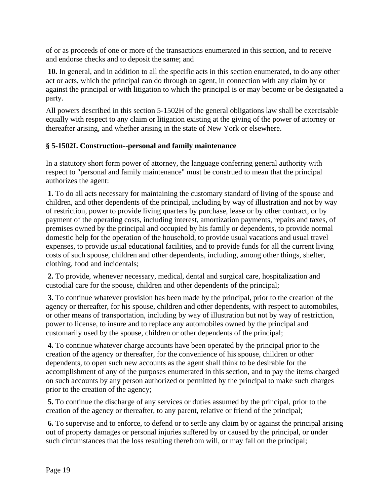of or as proceeds of one or more of the transactions enumerated in this section, and to receive and endorse checks and to deposit the same; and

**10.** In general, and in addition to all the specific acts in this section enumerated, to do any other act or acts, which the principal can do through an agent, in connection with any claim by or against the principal or with litigation to which the principal is or may become or be designated a party.

All powers described in this section 5-1502H of the general obligations law shall be exercisable equally with respect to any claim or litigation existing at the giving of the power of attorney or thereafter arising, and whether arising in the state of New York or elsewhere.

#### **§ 5-1502I. Construction--personal and family maintenance**

In a statutory short form power of attorney, the language conferring general authority with respect to "personal and family maintenance" must be construed to mean that the principal authorizes the agent:

**1.** To do all acts necessary for maintaining the customary standard of living of the spouse and children, and other dependents of the principal, including by way of illustration and not by way of restriction, power to provide living quarters by purchase, lease or by other contract, or by payment of the operating costs, including interest, amortization payments, repairs and taxes, of premises owned by the principal and occupied by his family or dependents, to provide normal domestic help for the operation of the household, to provide usual vacations and usual travel expenses, to provide usual educational facilities, and to provide funds for all the current living costs of such spouse, children and other dependents, including, among other things, shelter, clothing, food and incidentals;

**2.** To provide, whenever necessary, medical, dental and surgical care, hospitalization and custodial care for the spouse, children and other dependents of the principal;

**3.** To continue whatever provision has been made by the principal, prior to the creation of the agency or thereafter, for his spouse, children and other dependents, with respect to automobiles, or other means of transportation, including by way of illustration but not by way of restriction, power to license, to insure and to replace any automobiles owned by the principal and customarily used by the spouse, children or other dependents of the principal;

**4.** To continue whatever charge accounts have been operated by the principal prior to the creation of the agency or thereafter, for the convenience of his spouse, children or other dependents, to open such new accounts as the agent shall think to be desirable for the accomplishment of any of the purposes enumerated in this section, and to pay the items charged on such accounts by any person authorized or permitted by the principal to make such charges prior to the creation of the agency;

**5.** To continue the discharge of any services or duties assumed by the principal, prior to the creation of the agency or thereafter, to any parent, relative or friend of the principal;

**6.** To supervise and to enforce, to defend or to settle any claim by or against the principal arising out of property damages or personal injuries suffered by or caused by the principal, or under such circumstances that the loss resulting therefrom will, or may fall on the principal;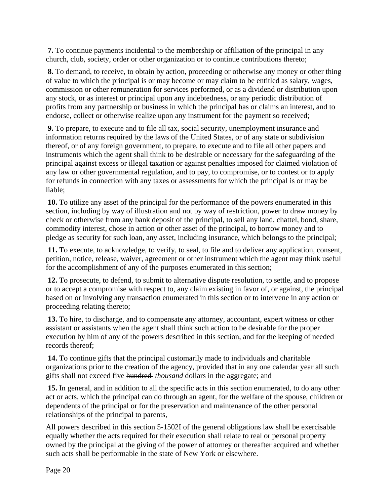**7.** To continue payments incidental to the membership or affiliation of the principal in any church, club, society, order or other organization or to continue contributions thereto;

**8.** To demand, to receive, to obtain by action, proceeding or otherwise any money or other thing of value to which the principal is or may become or may claim to be entitled as salary, wages, commission or other remuneration for services performed, or as a dividend or distribution upon any stock, or as interest or principal upon any indebtedness, or any periodic distribution of profits from any partnership or business in which the principal has or claims an interest, and to endorse, collect or otherwise realize upon any instrument for the payment so received;

**9.** To prepare, to execute and to file all tax, social security, unemployment insurance and information returns required by the laws of the United States, or of any state or subdivision thereof, or of any foreign government, to prepare, to execute and to file all other papers and instruments which the agent shall think to be desirable or necessary for the safeguarding of the principal against excess or illegal taxation or against penalties imposed for claimed violation of any law or other governmental regulation, and to pay, to compromise, or to contest or to apply for refunds in connection with any taxes or assessments for which the principal is or may be liable;

**10.** To utilize any asset of the principal for the performance of the powers enumerated in this section, including by way of illustration and not by way of restriction, power to draw money by check or otherwise from any bank deposit of the principal, to sell any land, chattel, bond, share, commodity interest, chose in action or other asset of the principal, to borrow money and to pledge as security for such loan, any asset, including insurance, which belongs to the principal;

**11.** To execute, to acknowledge, to verify, to seal, to file and to deliver any application, consent, petition, notice, release, waiver, agreement or other instrument which the agent may think useful for the accomplishment of any of the purposes enumerated in this section;

**12.** To prosecute, to defend, to submit to alternative dispute resolution, to settle, and to propose or to accept a compromise with respect to, any claim existing in favor of, or against, the principal based on or involving any transaction enumerated in this section or to intervene in any action or proceeding relating thereto;

**13.** To hire, to discharge, and to compensate any attorney, accountant, expert witness or other assistant or assistants when the agent shall think such action to be desirable for the proper execution by him of any of the powers described in this section, and for the keeping of needed records thereof;

**14.** To continue gifts that the principal customarily made to individuals and charitable organizations prior to the creation of the agency, provided that in any one calendar year all such gifts shall not exceed five hundred *thousand* dollars in the aggregate; and

**15.** In general, and in addition to all the specific acts in this section enumerated, to do any other act or acts, which the principal can do through an agent, for the welfare of the spouse, children or dependents of the principal or for the preservation and maintenance of the other personal relationships of the principal to parents,

All powers described in this section 5-1502I of the general obligations law shall be exercisable equally whether the acts required for their execution shall relate to real or personal property owned by the principal at the giving of the power of attorney or thereafter acquired and whether such acts shall be performable in the state of New York or elsewhere.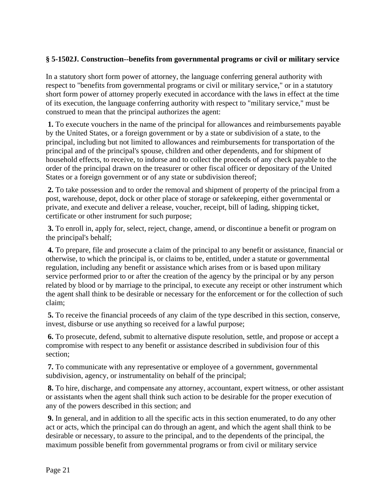#### **§ 5-1502J. Construction--benefits from governmental programs or civil or military service**

In a statutory short form power of attorney, the language conferring general authority with respect to "benefits from governmental programs or civil or military service," or in a statutory short form power of attorney properly executed in accordance with the laws in effect at the time of its execution, the language conferring authority with respect to "military service," must be construed to mean that the principal authorizes the agent:

**1.** To execute vouchers in the name of the principal for allowances and reimbursements payable by the United States, or a foreign government or by a state or subdivision of a state, to the principal, including but not limited to allowances and reimbursements for transportation of the principal and of the principal's spouse, children and other dependents, and for shipment of household effects, to receive, to indorse and to collect the proceeds of any check payable to the order of the principal drawn on the treasurer or other fiscal officer or depositary of the United States or a foreign government or of any state or subdivision thereof;

**2.** To take possession and to order the removal and shipment of property of the principal from a post, warehouse, depot, dock or other place of storage or safekeeping, either governmental or private, and execute and deliver a release, voucher, receipt, bill of lading, shipping ticket, certificate or other instrument for such purpose;

**3.** To enroll in, apply for, select, reject, change, amend, or discontinue a benefit or program on the principal's behalf;

**4.** To prepare, file and prosecute a claim of the principal to any benefit or assistance, financial or otherwise, to which the principal is, or claims to be, entitled, under a statute or governmental regulation, including any benefit or assistance which arises from or is based upon military service performed prior to or after the creation of the agency by the principal or by any person related by blood or by marriage to the principal, to execute any receipt or other instrument which the agent shall think to be desirable or necessary for the enforcement or for the collection of such claim;

**5.** To receive the financial proceeds of any claim of the type described in this section, conserve, invest, disburse or use anything so received for a lawful purpose;

**6.** To prosecute, defend, submit to alternative dispute resolution, settle, and propose or accept a compromise with respect to any benefit or assistance described in subdivision four of this section;

**7.** To communicate with any representative or employee of a government, governmental subdivision, agency, or instrumentality on behalf of the principal;

**8.** To hire, discharge, and compensate any attorney, accountant, expert witness, or other assistant or assistants when the agent shall think such action to be desirable for the proper execution of any of the powers described in this section; and

**9.** In general, and in addition to all the specific acts in this section enumerated, to do any other act or acts, which the principal can do through an agent, and which the agent shall think to be desirable or necessary, to assure to the principal, and to the dependents of the principal, the maximum possible benefit from governmental programs or from civil or military service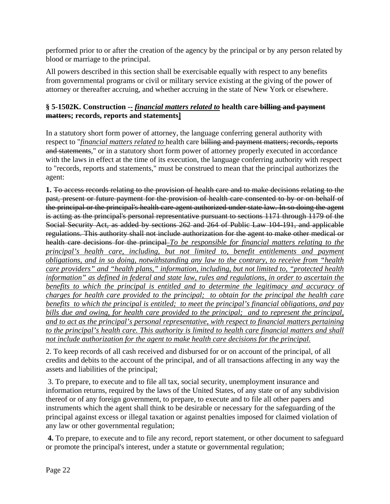performed prior to or after the creation of the agency by the principal or by any person related by blood or marriage to the principal.

All powers described in this section shall be exercisable equally with respect to any benefits from governmental programs or civil or military service existing at the giving of the power of attorney or thereafter accruing, and whether accruing in the state of New York or elsewhere.

#### **§ 5-1502K. Construction -***- financial matters related to* **health care billing and payment matters; records, reports and statements]**

In a statutory short form power of attorney, the language conferring general authority with respect to "*financial matters related to* health care billing and payment matters; records, reports and statements," or in a statutory short form power of attorney properly executed in accordance with the laws in effect at the time of its execution, the language conferring authority with respect to "records, reports and statements," must be construed to mean that the principal authorizes the agent:

**1.** To access records relating to the provision of health care and to make decisions relating to the past, present or future payment for the provision of health care consented to by or on behalf of the principal or the principal's health care agent authorized under state law. In so doing the agent is acting as the principal's personal representative pursuant to sections 1171 through 1179 of the Social Security Act, as added by sections 262 and 264 of Public Law 104-191, and applicable regulations. This authority shall not include authorization for the agent to make other medical or health care decisions for the principal *To be responsible for financial matters relating to the principal's health care, including, but not limited to, benefit entitlements and payment obligations, and in so doing, notwithstanding any law to the contrary, to receive from "health care providers" and "health plans," information, including, but not limited to, "protected health information" as defined in federal and state law, rules and regulations, in order to ascertain the*  benefits to which the principal is entitled and to determine the legitimacy and accuracy of *charges for health care provided to the principal; to obtain for the principal the health care benefits to which the principal is entitled; to meet the principal's financial obligations, and pay bills due and owing, for health care provided to the principal; and to represent the principal, and to act as the principal's personal representative, with respect to financial matters pertaining to the principal's health care. This authority is limited to health care financial matters and shall not include authorization for the agent to make health care decisions for the principal.*

2. To keep records of all cash received and disbursed for or on account of the principal, of all credits and debits to the account of the principal, and of all transactions affecting in any way the assets and liabilities of the principal;

 3. To prepare, to execute and to file all tax, social security, unemployment insurance and information returns, required by the laws of the United States, of any state or of any subdivision thereof or of any foreign government, to prepare, to execute and to file all other papers and instruments which the agent shall think to be desirable or necessary for the safeguarding of the principal against excess or illegal taxation or against penalties imposed for claimed violation of any law or other governmental regulation;

**4.** To prepare, to execute and to file any record, report statement, or other document to safeguard or promote the principal's interest, under a statute or governmental regulation;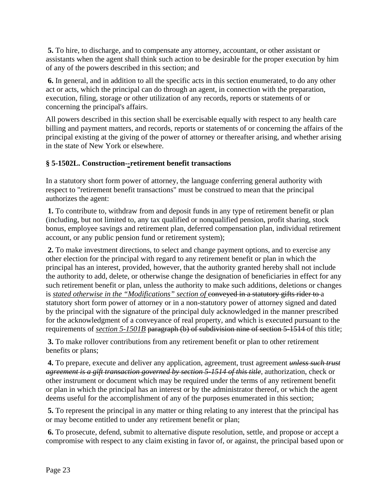**5.** To hire, to discharge, and to compensate any attorney, accountant, or other assistant or assistants when the agent shall think such action to be desirable for the proper execution by him of any of the powers described in this section; and

**6.** In general, and in addition to all the specific acts in this section enumerated, to do any other act or acts, which the principal can do through an agent, in connection with the preparation, execution, filing, storage or other utilization of any records, reports or statements of or concerning the principal's affairs.

All powers described in this section shall be exercisable equally with respect to any health care billing and payment matters, and records, reports or statements of or concerning the affairs of the principal existing at the giving of the power of attorney or thereafter arising, and whether arising in the state of New York or elsewhere.

#### **§ 5-1502L. Construction-***-***retirement benefit transactions**

In a statutory short form power of attorney, the language conferring general authority with respect to "retirement benefit transactions" must be construed to mean that the principal authorizes the agent:

**1.** To contribute to, withdraw from and deposit funds in any type of retirement benefit or plan (including, but not limited to, any tax qualified or nonqualified pension, profit sharing, stock bonus, employee savings and retirement plan, deferred compensation plan, individual retirement account, or any public pension fund or retirement system);

**2.** To make investment directions, to select and change payment options, and to exercise any other election for the principal with regard to any retirement benefit or plan in which the principal has an interest, provided, however, that the authority granted hereby shall not include the authority to add, delete, or otherwise change the designation of beneficiaries in effect for any such retirement benefit or plan, unless the authority to make such additions, deletions or changes is *stated otherwise in the "Modifications" section of* conveyed in a statutory gifts rider to a statutory short form power of attorney or in a non-statutory power of attorney signed and dated by the principal with the signature of the principal duly acknowledged in the manner prescribed for the acknowledgment of a conveyance of real property, and which is executed pursuant to the requirements of *section 5-1501B* paragraph (b) of subdivision nine of section 5-1514 of this title;

**3.** To make rollover contributions from any retirement benefit or plan to other retirement benefits or plans;

**4.** To prepare, execute and deliver any application, agreement, trust agreement *unless such trust agreement is a gift transaction governed by section 5-1514 of this title,* authorization, check or other instrument or document which may be required under the terms of any retirement benefit or plan in which the principal has an interest or by the administrator thereof, or which the agent deems useful for the accomplishment of any of the purposes enumerated in this section;

**5.** To represent the principal in any matter or thing relating to any interest that the principal has or may become entitled to under any retirement benefit or plan;

**6.** To prosecute, defend, submit to alternative dispute resolution, settle, and propose or accept a compromise with respect to any claim existing in favor of, or against, the principal based upon or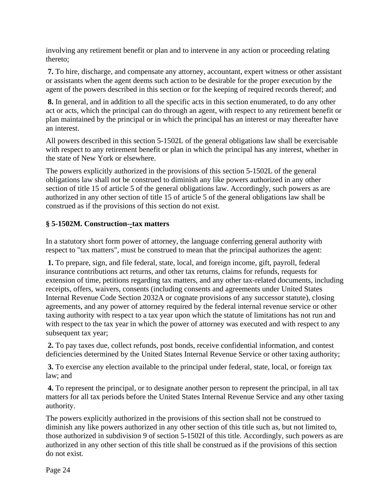involving any retirement benefit or plan and to intervene in any action or proceeding relating thereto;

**7.** To hire, discharge, and compensate any attorney, accountant, expert witness or other assistant or assistants when the agent deems such action to be desirable for the proper execution by the agent of the powers described in this section or for the keeping of required records thereof; and

**8.** In general, and in addition to all the specific acts in this section enumerated, to do any other act or acts, which the principal can do through an agent, with respect to any retirement benefit or plan maintained by the principal or in which the principal has an interest or may thereafter have an interest.

All powers described in this section 5-1502L of the general obligations law shall be exercisable with respect to any retirement benefit or plan in which the principal has any interest, whether in the state of New York or elsewhere.

The powers explicitly authorized in the provisions of this section 5-1502L of the general obligations law shall not be construed to diminish any like powers authorized in any other section of title 15 of article 5 of the general obligations law. Accordingly, such powers as are authorized in any other section of title 15 of article 5 of the general obligations law shall be construed as if the provisions of this section do not exist.

#### **§ 5-1502M. Construction-***-***tax matters**

In a statutory short form power of attorney, the language conferring general authority with respect to "tax matters", must be construed to mean that the principal authorizes the agent:

**1.** To prepare, sign, and file federal, state, local, and foreign income, gift, payroll, federal insurance contributions act returns, and other tax returns, claims for refunds, requests for extension of time, petitions regarding tax matters, and any other tax-related documents, including receipts, offers, waivers, consents (including consents and agreements under United States Internal Revenue Code Section 2032A or cognate provisions of any successor statute), closing agreements, and any power of attorney required by the federal internal revenue service or other taxing authority with respect to a tax year upon which the statute of limitations has not run and with respect to the tax year in which the power of attorney was executed and with respect to any subsequent tax year;

**2.** To pay taxes due, collect refunds, post bonds, receive confidential information, and contest deficiencies determined by the United States Internal Revenue Service or other taxing authority;

**3.** To exercise any election available to the principal under federal, state, local, or foreign tax law; and

**4.** To represent the principal, or to designate another person to represent the principal, in all tax matters for all tax periods before the United States Internal Revenue Service and any other taxing authority.

The powers explicitly authorized in the provisions of this section shall not be construed to diminish any like powers authorized in any other section of this title such as, but not limited to, those authorized in subdivision 9 of section 5-1502I of this title. Accordingly, such powers as are authorized in any other section of this title shall be construed as if the provisions of this section do not exist.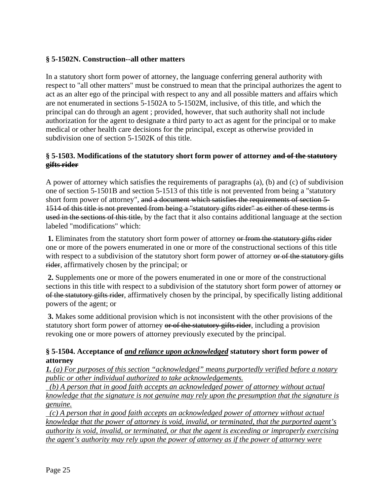#### **§ 5-1502N. Construction--all other matters**

In a statutory short form power of attorney, the language conferring general authority with respect to "all other matters" must be construed to mean that the principal authorizes the agent to act as an alter ego of the principal with respect to any and all possible matters and affairs which are not enumerated in sections 5-1502A to 5-1502M, inclusive, of this title, and which the principal can do through an agent ; provided, however, that such authority shall not include authorization for the agent to designate a third party to act as agent for the principal or to make medical or other health care decisions for the principal, except as otherwise provided in subdivision one of section 5-1502K of this title.

#### **§ 5-1503. Modifications of the statutory short form power of attorney and of the statutory gifts rider**

A power of attorney which satisfies the requirements of paragraphs (a), (b) and (c) of subdivision one of section 5-1501B and section 5-1513 of this title is not prevented from being a "statutory short form power of attorney", and a document which satisfies the requirements of section 5- 1514 of this title is not prevented from being a "statutory gifts rider" as either of these terms is used in the sections of this title, by the fact that it also contains additional language at the section labeled "modifications" which:

**1.** Eliminates from the statutory short form power of attorney or from the statutory gifts rider one or more of the powers enumerated in one or more of the constructional sections of this title with respect to a subdivision of the statutory short form power of attorney or of the statutory gifts rider, affirmatively chosen by the principal; or

**2.** Supplements one or more of the powers enumerated in one or more of the constructional sections in this title with respect to a subdivision of the statutory short form power of attorney or of the statutory gifts rider, affirmatively chosen by the principal, by specifically listing additional powers of the agent; or

**3.** Makes some additional provision which is not inconsistent with the other provisions of the statutory short form power of attorney or of the statutory gifts rider, including a provision revoking one or more powers of attorney previously executed by the principal.

#### **§ 5-1504. Acceptance of** *and reliance upon acknowledged* **statutory short form power of attorney**

*1. (a) For purposes of this section "acknowledged" means purportedly verified before a notary public or other individual authorized to take acknowledgements.*

 *(b) A person that in good faith accepts an acknowledged power of attorney without actual knowledge that the signature is not genuine may rely upon the presumption that the signature is genuine.*

 *(c) A person that in good faith accepts an acknowledged power of attorney without actual knowledge that the power of attorney is void, invalid, or terminated, that the purported agent's authority is void, invalid, or terminated, or that the agent is exceeding or improperly exercising the agent's authority may rely upon the power of attorney as if the power of attorney were*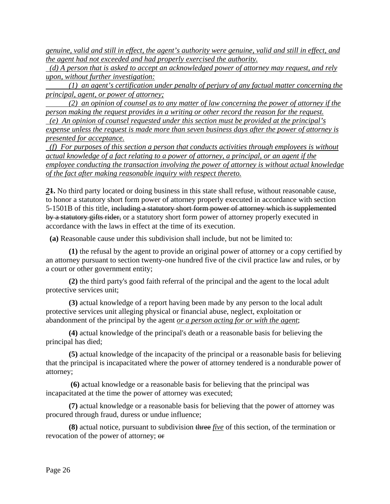*genuine, valid and still in effect, the agent's authority were genuine, valid and still in effect, and the agent had not exceeded and had properly exercised the authority.*

 *(d) A person that is asked to accept an acknowledged power of attorney may request, and rely upon, without further investigation:*

 *(1) an agent's certification under penalty of perjury of any factual matter concerning the principal, agent, or power of attorney;* 

 *(2) an opinion of counsel as to any matter of law concerning the power of attorney if the person making the request provides in a writing or other record the reason for the request.* 

 *(e) An opinion of counsel requested under this section must be provided at the principal's expense unless the request is made more than seven business days after the power of attorney is presented for acceptance.* 

 *(f) For purposes of this section a person that conducts activities through employees is without actual knowledge of a fact relating to a power of attorney, a principal, or an agent if the employee conducting the transaction involving the power of attorney is without actual knowledge of the fact after making reasonable inquiry with respect thereto.* 

*2***1.** No third party located or doing business in this state shall refuse, without reasonable cause, to honor a statutory short form power of attorney properly executed in accordance with section 5-1501B of this title, including a statutory short form power of attorney which is supplemented by a statutory gifts rider, or a statutory short form power of attorney properly executed in accordance with the laws in effect at the time of its execution.

**(a)** Reasonable cause under this subdivision shall include, but not be limited to:

 **(1)** the refusal by the agent to provide an original power of attorney or a copy certified by an attorney pursuant to section twenty-one hundred five of the civil practice law and rules, or by a court or other government entity;

 **(2)** the third party's good faith referral of the principal and the agent to the local adult protective services unit;

 **(3)** actual knowledge of a report having been made by any person to the local adult protective services unit alleging physical or financial abuse, neglect, exploitation or abandonment of the principal by the agent *or a person acting for or with the agent*;

**(4)** actual knowledge of the principal's death or a reasonable basis for believing the principal has died;

 **(5)** actual knowledge of the incapacity of the principal or a reasonable basis for believing that the principal is incapacitated where the power of attorney tendered is a nondurable power of attorney;

 **(6)** actual knowledge or a reasonable basis for believing that the principal was incapacitated at the time the power of attorney was executed;

 **(7)** actual knowledge or a reasonable basis for believing that the power of attorney was procured through fraud, duress or undue influence;

 **(8)** actual notice, pursuant to subdivision three *five* of this section, of the termination or revocation of the power of attorney; or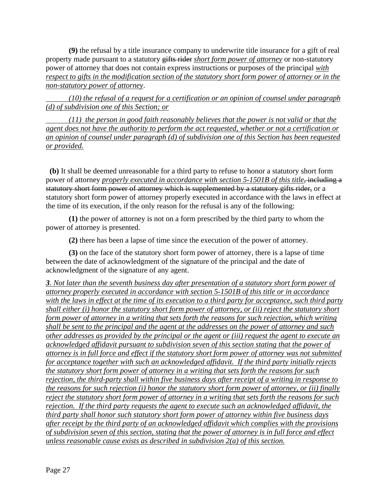**(9)** the refusal by a title insurance company to underwrite title insurance for a gift of real property made pursuant to a statutory gifts rider *short form power of attorney* or non-statutory power of attorney that does not contain express instructions or purposes of the principal *with respect to gifts in the modification section of the statutory short form power of attorney or in the non-statutory power of attorney*.

 *(10) the refusal of a request for a certification or an opinion of counsel under paragraph (d) of subdivision one of this Section; or* 

 *(11) the person in good faith reasonably believes that the power is not valid or that the agent does not have the authority to perform the act requested, whether or not a certification or an opinion of counsel under paragraph (d) of subdivision one of this Section has been requested or provided.* 

 **(b)** It shall be deemed unreasonable for a third party to refuse to honor a statutory short form power of attorney *properly executed in accordance with section* 5-1501B of this title, including a statutory short form power of attorney which is supplemented by a statutory gifts rider, or a statutory short form power of attorney properly executed in accordance with the laws in effect at the time of its execution, if the only reason for the refusal is any of the following:

 **(1)** the power of attorney is not on a form prescribed by the third party to whom the power of attorney is presented.

**(2)** there has been a lapse of time since the execution of the power of attorney.

 **(3)** on the face of the statutory short form power of attorney, there is a lapse of time between the date of acknowledgment of the signature of the principal and the date of acknowledgment of the signature of any agent.

*3. Not later than the seventh business day after presentation of a statutory short form power of attorney properly executed in accordance with section 5-1501B of this title or in accordance with the laws in effect at the time of its execution to a third party for acceptance, such third party shall either (i) honor the statutory short form power of attorney, or (ii) reject the statutory short form power of attorney in a writing that sets forth the reasons for such rejection, which writing shall be sent to the principal and the agent at the addresses on the power of attorney and such other addresses as provided by the principal or the agent or (iii) request the agent to execute an acknowledged affidavit pursuant to subdivision seven of this section stating that the power of attorney is in full force and effect if the statutory short form power of attorney was not submitted for acceptance together with such an acknowledged affidavit. If the third party initially rejects the statutory short form power of attorney in a writing that sets forth the reasons for such rejection, the third-party shall within five business days after receipt of a writing in response to the reasons for such rejection (i) honor the statutory short form power of attorney, or (ii) finally reject the statutory short form power of attorney in a writing that sets forth the reasons for such rejection. If the third party requests the agent to execute such an acknowledged affidavit, the third party shall honor such statutory short form power of attorney within five business days after receipt by the third party of an acknowledged affidavit which complies with the provisions of subdivision seven of this section, stating that the power of attorney is in full force and effect unless reasonable cause exists as described in subdivision 2(a) of this section.*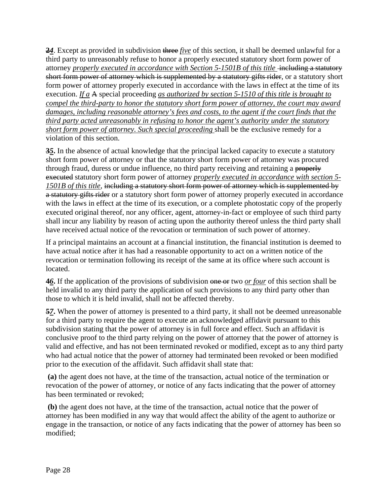**2***4*. Except as provided in subdivision three *five* of this section, it shall be deemed unlawful for a third party to unreasonably refuse to honor a properly executed statutory short form power of attorney *properly executed in accordance with Section 5-1501B of this title* including a statutory short form power of attorney which is supplemented by a statutory gifts rider, or a statutory short form power of attorney properly executed in accordance with the laws in effect at the time of its execution. *If a* A special proceeding *as authorized by section 5-1510 of this title is brought to compel the third-party to honor the statutory short form power of attorney, the court may award damages, including reasonable attorney's fees and costs, to the agent if the court finds that the third party acted unreasonably in refusing to honor the agent's authority under the statutory short form power of attorney. Such special proceeding* shall be the exclusive remedy for a violation of this section.

**3***5***.** In the absence of actual knowledge that the principal lacked capacity to execute a statutory short form power of attorney or that the statutory short form power of attorney was procured through fraud, duress or undue influence, no third party receiving and retaining a properly executed statutory short form power of attorney *properly executed in accordance with section 5- 1501B of this title*, including a statutory short form power of attorney which is supplemented by a statutory gifts rider or a statutory short form power of attorney properly executed in accordance with the laws in effect at the time of its execution, or a complete photostatic copy of the properly executed original thereof*,* nor any officer, agent, attorney-in-fact or employee of such third party shall incur any liability by reason of acting upon the authority thereof unless the third party shall have received actual notice of the revocation or termination of such power of attorney.

If a principal maintains an account at a financial institution, the financial institution is deemed to have actual notice after it has had a reasonable opportunity to act on a written notice of the revocation or termination following its receipt of the same at its office where such account is located.

**4***6***.** If the application of the provisions of subdivision one or two *or four* of this section shall be held invalid to any third party the application of such provisions to any third party other than those to which it is held invalid, shall not be affected thereby.

**5***7***.** When the power of attorney is presented to a third party, it shall not be deemed unreasonable for a third party to require the agent to execute an acknowledged affidavit pursuant to this subdivision stating that the power of attorney is in full force and effect. Such an affidavit is conclusive proof to the third party relying on the power of attorney that the power of attorney is valid and effective, and has not been terminated revoked or modified, except as to any third party who had actual notice that the power of attorney had terminated been revoked or been modified prior to the execution of the affidavit. Such affidavit shall state that:

**(a)** the agent does not have, at the time of the transaction, actual notice of the termination or revocation of the power of attorney, or notice of any facts indicating that the power of attorney has been terminated or revoked;

**(b)** the agent does not have, at the time of the transaction, actual notice that the power of attorney has been modified in any way that would affect the ability of the agent to authorize or engage in the transaction, or notice of any facts indicating that the power of attorney has been so modified;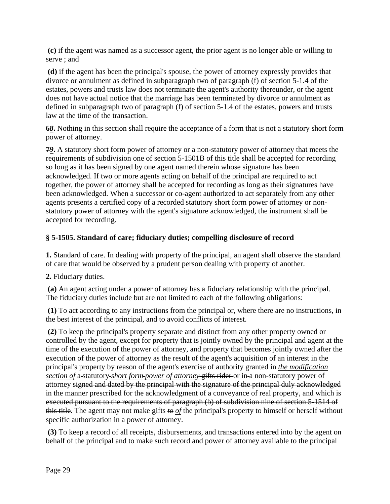**(c)** if the agent was named as a successor agent, the prior agent is no longer able or willing to serve ; and

**(d)** if the agent has been the principal's spouse, the power of attorney expressly provides that divorce or annulment as defined in subparagraph two of paragraph (f) of section 5-1.4 of the estates, powers and trusts law does not terminate the agent's authority thereunder, or the agent does not have actual notice that the marriage has been terminated by divorce or annulment as defined in subparagraph two of paragraph (f) of section 5-1.4 of the estates, powers and trusts law at the time of the transaction.

**6***8***.** Nothing in this section shall require the acceptance of a form that is not a statutory short form power of attorney.

**7***9***.** A statutory short form power of attorney or a non-statutory power of attorney that meets the requirements of subdivision one of section 5-1501B of this title shall be accepted for recording so long as it has been signed by one agent named therein whose signature has been acknowledged. If two or more agents acting on behalf of the principal are required to act together, the power of attorney shall be accepted for recording as long as their signatures have been acknowledged. When a successor or co-agent authorized to act separately from any other agents presents a certified copy of a recorded statutory short form power of attorney or nonstatutory power of attorney with the agent's signature acknowledged, the instrument shall be accepted for recording.

#### **§ 5-1505. Standard of care; fiduciary duties; compelling disclosure of record**

**1.** Standard of care. In dealing with property of the principal, an agent shall observe the standard of care that would be observed by a prudent person dealing with property of another.

**2.** Fiduciary duties.

**(a)** An agent acting under a power of attorney has a fiduciary relationship with the principal. The fiduciary duties include but are not limited to each of the following obligations:

**(1)** To act according to any instructions from the principal or, where there are no instructions, in the best interest of the principal, and to avoid conflicts of interest.

**(2)** To keep the principal's property separate and distinct from any other property owned or controlled by the agent, except for property that is jointly owned by the principal and agent at the time of the execution of the power of attorney, and property that becomes jointly owned after the execution of the power of attorney as the result of the agent's acquisition of an interest in the principal's property by reason of the agent's exercise of authority granted in *the modification section of* a-statutory-*short form-power of attorney-gifts rider*-or in-a non-statutory power of attorney signed and dated by the principal with the signature of the principal duly acknowledged in the manner prescribed for the acknowledgment of a conveyance of real property, and which is executed pursuant to the requirements of paragraph (b) of subdivision nine of section 5-1514 of this title. The agent may not make gifts *to of* the principal's property to himself or herself without specific authorization in a power of attorney.

**(3)** To keep a record of all receipts, disbursements, and transactions entered into by the agent on behalf of the principal and to make such record and power of attorney available to the principal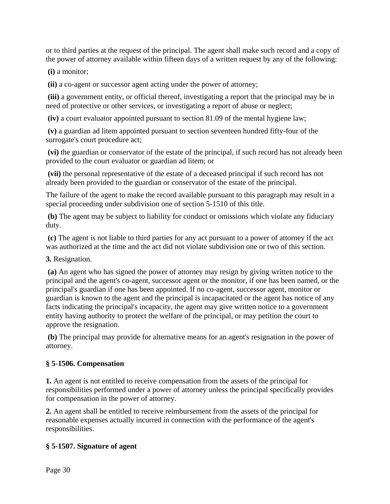or to third parties at the request of the principal. The agent shall make such record and a copy of the power of attorney available within fifteen days of a written request by any of the following:

**(i)** a monitor;

**(ii)** a co-agent or successor agent acting under the power of attorney;

**(iii)** a government entity, or official thereof, investigating a report that the principal may be in need of protective or other services, or investigating a report of abuse or neglect;

**(iv)** a court evaluator appointed pursuant to section 81.09 of the mental hygiene law;

**(v)** a guardian ad litem appointed pursuant to section seventeen hundred fifty-four of the surrogate's court procedure act;

**(vi)** the guardian or conservator of the estate of the principal, if such record has not already been provided to the court evaluator or guardian ad litem; or

**(vii)** the personal representative of the estate of a deceased principal if such record has not already been provided to the guardian or conservator of the estate of the principal.

The failure of the agent to make the record available pursuant to this paragraph may result in a special proceeding under subdivision one of section 5-1510 of this title.

**(b)** The agent may be subject to liability for conduct or omissions which violate any fiduciary duty.

**(c)** The agent is not liable to third parties for any act pursuant to a power of attorney if the act was authorized at the time and the act did not violate subdivision one or two of this section.

**3.** Resignation.

**(a)** An agent who has signed the power of attorney may resign by giving written notice to the principal and the agent's co-agent, successor agent or the monitor, if one has been named, or the principal's guardian if one has been appointed. If no co-agent, successor agent, monitor or guardian is known to the agent and the principal is incapacitated or the agent has notice of any facts indicating the principal's incapacity, the agent may give written notice to a government entity having authority to protect the welfare of the principal, or may petition the court to approve the resignation.

**(b)** The principal may provide for alternative means for an agent's resignation in the power of attorney.

# **§ 5-1506. Compensation**

**1.** An agent is not entitled to receive compensation from the assets of the principal for responsibilities performed under a power of attorney unless the principal specifically provides for compensation in the power of attorney.

**2.** An agent shall be entitled to receive reimbursement from the assets of the principal for reasonable expenses actually incurred in connection with the performance of the agent's responsibilities.

# **§ 5-1507. Signature of agent**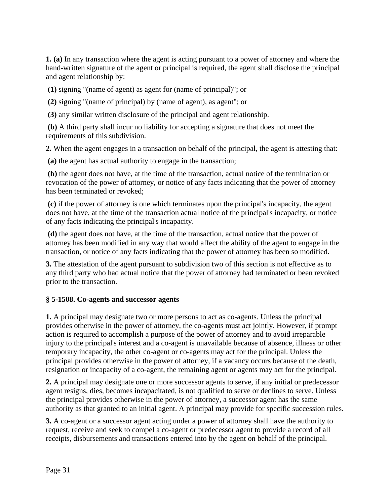**1. (a)** In any transaction where the agent is acting pursuant to a power of attorney and where the hand-written signature of the agent or principal is required, the agent shall disclose the principal and agent relationship by:

**(1)** signing "(name of agent) as agent for (name of principal)"; or

**(2)** signing "(name of principal) by (name of agent), as agent"; or

**(3)** any similar written disclosure of the principal and agent relationship.

**(b)** A third party shall incur no liability for accepting a signature that does not meet the requirements of this subdivision.

**2.** When the agent engages in a transaction on behalf of the principal, the agent is attesting that:

**(a)** the agent has actual authority to engage in the transaction;

**(b)** the agent does not have, at the time of the transaction, actual notice of the termination or revocation of the power of attorney, or notice of any facts indicating that the power of attorney has been terminated or revoked;

**(c)** if the power of attorney is one which terminates upon the principal's incapacity, the agent does not have, at the time of the transaction actual notice of the principal's incapacity, or notice of any facts indicating the principal's incapacity.

**(d)** the agent does not have, at the time of the transaction, actual notice that the power of attorney has been modified in any way that would affect the ability of the agent to engage in the transaction, or notice of any facts indicating that the power of attorney has been so modified.

**3.** The attestation of the agent pursuant to subdivision two of this section is not effective as to any third party who had actual notice that the power of attorney had terminated or been revoked prior to the transaction.

#### **§ 5-1508. Co-agents and successor agents**

**1.** A principal may designate two or more persons to act as co-agents. Unless the principal provides otherwise in the power of attorney, the co-agents must act jointly. However, if prompt action is required to accomplish a purpose of the power of attorney and to avoid irreparable injury to the principal's interest and a co-agent is unavailable because of absence, illness or other temporary incapacity, the other co-agent or co-agents may act for the principal. Unless the principal provides otherwise in the power of attorney, if a vacancy occurs because of the death, resignation or incapacity of a co-agent, the remaining agent or agents may act for the principal.

**2.** A principal may designate one or more successor agents to serve, if any initial or predecessor agent resigns, dies, becomes incapacitated, is not qualified to serve or declines to serve. Unless the principal provides otherwise in the power of attorney, a successor agent has the same authority as that granted to an initial agent. A principal may provide for specific succession rules.

**3.** A co-agent or a successor agent acting under a power of attorney shall have the authority to request, receive and seek to compel a co-agent or predecessor agent to provide a record of all receipts, disbursements and transactions entered into by the agent on behalf of the principal.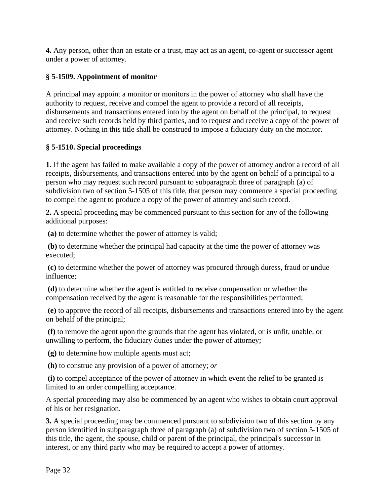**4.** Any person, other than an estate or a trust, may act as an agent, co-agent or successor agent under a power of attorney.

#### **§ 5-1509. Appointment of monitor**

A principal may appoint a monitor or monitors in the power of attorney who shall have the authority to request, receive and compel the agent to provide a record of all receipts, disbursements and transactions entered into by the agent on behalf of the principal, to request and receive such records held by third parties, and to request and receive a copy of the power of attorney. Nothing in this title shall be construed to impose a fiduciary duty on the monitor.

#### **§ 5-1510. Special proceedings**

**1.** If the agent has failed to make available a copy of the power of attorney and/or a record of all receipts, disbursements, and transactions entered into by the agent on behalf of a principal to a person who may request such record pursuant to subparagraph three of paragraph (a) of subdivision two of section 5-1505 of this title, that person may commence a special proceeding to compel the agent to produce a copy of the power of attorney and such record.

**2.** A special proceeding may be commenced pursuant to this section for any of the following additional purposes:

**(a)** to determine whether the power of attorney is valid;

**(b)** to determine whether the principal had capacity at the time the power of attorney was executed;

**(c)** to determine whether the power of attorney was procured through duress, fraud or undue influence;

**(d)** to determine whether the agent is entitled to receive compensation or whether the compensation received by the agent is reasonable for the responsibilities performed;

**(e)** to approve the record of all receipts, disbursements and transactions entered into by the agent on behalf of the principal;

**(f)** to remove the agent upon the grounds that the agent has violated, or is unfit, unable, or unwilling to perform, the fiduciary duties under the power of attorney;

**(g)** to determine how multiple agents must act;

**(h)** to construe any provision of a power of attorney; *or*

**(i)** to compel acceptance of the power of attorney in which event the relief to be granted is limited to an order compelling acceptance.

A special proceeding may also be commenced by an agent who wishes to obtain court approval of his or her resignation.

**3.** A special proceeding may be commenced pursuant to subdivision two of this section by any person identified in subparagraph three of paragraph (a) of subdivision two of section 5-1505 of this title, the agent, the spouse, child or parent of the principal, the principal's successor in interest, or any third party who may be required to accept a power of attorney.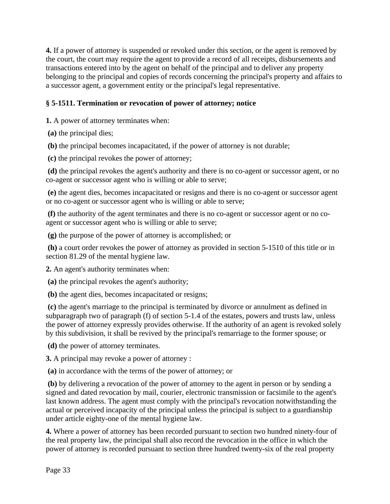**4.** If a power of attorney is suspended or revoked under this section, or the agent is removed by the court, the court may require the agent to provide a record of all receipts, disbursements and transactions entered into by the agent on behalf of the principal and to deliver any property belonging to the principal and copies of records concerning the principal's property and affairs to a successor agent, a government entity or the principal's legal representative.

#### **§ 5-1511. Termination or revocation of power of attorney; notice**

**1.** A power of attorney terminates when:

**(a)** the principal dies;

**(b)** the principal becomes incapacitated, if the power of attorney is not durable;

**(c)** the principal revokes the power of attorney;

**(d)** the principal revokes the agent's authority and there is no co-agent or successor agent, or no co-agent or successor agent who is willing or able to serve;

**(e)** the agent dies, becomes incapacitated or resigns and there is no co-agent or successor agent or no co-agent or successor agent who is willing or able to serve;

**(f)** the authority of the agent terminates and there is no co-agent or successor agent or no coagent or successor agent who is willing or able to serve;

**(g)** the purpose of the power of attorney is accomplished; or

**(h)** a court order revokes the power of attorney as provided in section 5-1510 of this title or in section 81.29 of the mental hygiene law.

**2.** An agent's authority terminates when:

**(a)** the principal revokes the agent's authority;

**(b)** the agent dies, becomes incapacitated or resigns;

**(c)** the agent's marriage to the principal is terminated by divorce or annulment as defined in subparagraph two of paragraph (f) of section 5-1.4 of the estates, powers and trusts law, unless the power of attorney expressly provides otherwise. If the authority of an agent is revoked solely by this subdivision, it shall be revived by the principal's remarriage to the former spouse; or

**(d)** the power of attorney terminates.

**3.** A principal may revoke a power of attorney :

**(a)** in accordance with the terms of the power of attorney; or

**(b)** by delivering a revocation of the power of attorney to the agent in person or by sending a signed and dated revocation by mail, courier, electronic transmission or facsimile to the agent's last known address. The agent must comply with the principal's revocation notwithstanding the actual or perceived incapacity of the principal unless the principal is subject to a guardianship under article eighty-one of the mental hygiene law.

**4.** Where a power of attorney has been recorded pursuant to section two hundred ninety-four of the real property law, the principal shall also record the revocation in the office in which the power of attorney is recorded pursuant to section three hundred twenty-six of the real property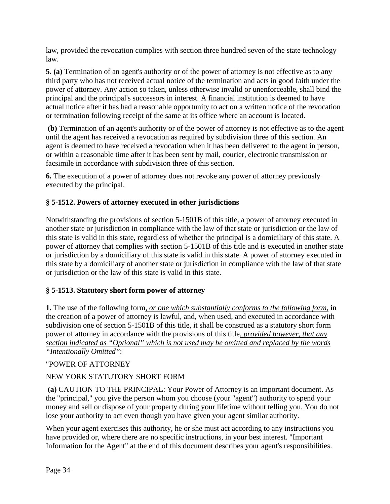law, provided the revocation complies with section three hundred seven of the state technology law.

**5. (a)** Termination of an agent's authority or of the power of attorney is not effective as to any third party who has not received actual notice of the termination and acts in good faith under the power of attorney. Any action so taken, unless otherwise invalid or unenforceable, shall bind the principal and the principal's successors in interest. A financial institution is deemed to have actual notice after it has had a reasonable opportunity to act on a written notice of the revocation or termination following receipt of the same at its office where an account is located.

**(b)** Termination of an agent's authority or of the power of attorney is not effective as to the agent until the agent has received a revocation as required by subdivision three of this section. An agent is deemed to have received a revocation when it has been delivered to the agent in person, or within a reasonable time after it has been sent by mail, courier, electronic transmission or facsimile in accordance with subdivision three of this section.

**6.** The execution of a power of attorney does not revoke any power of attorney previously executed by the principal.

# **§ 5-1512. Powers of attorney executed in other jurisdictions**

Notwithstanding the provisions of section 5-1501B of this title, a power of attorney executed in another state or jurisdiction in compliance with the law of that state or jurisdiction or the law of this state is valid in this state, regardless of whether the principal is a domiciliary of this state. A power of attorney that complies with section 5-1501B of this title and is executed in another state or jurisdiction by a domiciliary of this state is valid in this state. A power of attorney executed in this state by a domiciliary of another state or jurisdiction in compliance with the law of that state or jurisdiction or the law of this state is valid in this state.

# **§ 5-1513. Statutory short form power of attorney**

**1.** The use of the following form*, or one which substantially conforms to the following form,* in the creation of a power of attorney is lawful, and, when used, and executed in accordance with subdivision one of section 5-1501B of this title, it shall be construed as a statutory short form power of attorney in accordance with the provisions of this title*, provided however, that any section indicated as "Optional" which is not used may be omitted and replaced by the words "Intentionally Omitted"*:

#### "POWER OF ATTORNEY

# NEW YORK STATUTORY SHORT FORM

**(a)** CAUTION TO THE PRINCIPAL: Your Power of Attorney is an important document. As the "principal," you give the person whom you choose (your "agent") authority to spend your money and sell or dispose of your property during your lifetime without telling you. You do not lose your authority to act even though you have given your agent similar authority.

When your agent exercises this authority, he or she must act according to any instructions you have provided or, where there are no specific instructions, in your best interest. "Important Information for the Agent" at the end of this document describes your agent's responsibilities.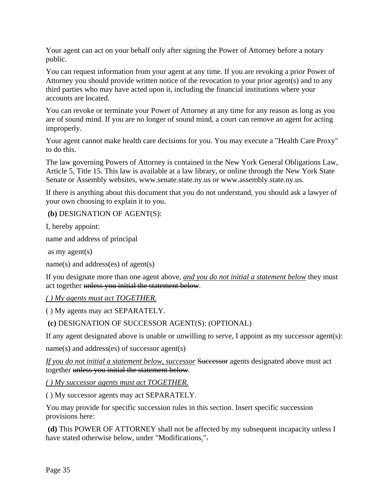Your agent can act on your behalf only after signing the Power of Attorney before a notary public.

You can request information from your agent at any time. If you are revoking a prior Power of Attorney you should provide written notice of the revocation to your prior agent(s) and to any third parties who may have acted upon it, including the financial institutions where your accounts are located.

You can revoke or terminate your Power of Attorney at any time for any reason as long as you are of sound mind. If you are no longer of sound mind, a court can remove an agent for acting improperly.

Your agent cannot make health care decisions for you. You may execute a "Health Care Proxy" to do this.

The law governing Powers of Attorney is contained in the New York General Obligations Law, Article 5, Title 15. This law is available at a law library, or online through the New York State Senate or Assembly websites, www.senate.state.ny.us or www.assembly.state.ny.us.

If there is anything about this document that you do not understand, you should ask a lawyer of your own choosing to explain it to you.

**(b)** DESIGNATION OF AGENT(S):

I, hereby appoint:

name and address of principal

as my agent(s)

```
name(s) and address(es) of agent(s)
```
If you designate more than one agent above, *and you do not initial a statement below* they must act together unless you initial the statement below.

*( ) My agents must act TOGETHER.* 

( ) My agents may act SEPARATELY.

**(c)** DESIGNATION OF SUCCESSOR AGENT(S): (OPTIONAL)

If any agent designated above is unable or unwilling to serve, I appoint as my successor agent(s):

name(s) and address(es) of successor agent(s)

*If you do not initial a statement below, successor* Successor agents designated above must act together unless you initial the statement below.

*( ) My successor agents must act TOGETHER.* 

( ) My successor agents may act SEPARATELY.

You may provide for specific succession rules in this section. Insert specific succession provisions here:

**(d)** This POWER OF ATTORNEY shall not be affected by my subsequent incapacity unless I have stated otherwise below, under "Modifications."-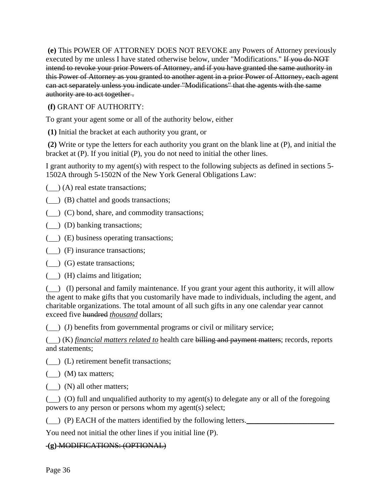**(e)** This POWER OF ATTORNEY DOES NOT REVOKE any Powers of Attorney previously executed by me unless I have stated otherwise below, under "Modifications." If you do NOT intend to revoke your prior Powers of Attorney, and if you have granted the same authority in this Power of Attorney as you granted to another agent in a prior Power of Attorney, each agent can act separately unless you indicate under "Modifications" that the agents with the same authority are to act together .

#### **(f)** GRANT OF AUTHORITY:

To grant your agent some or all of the authority below, either

**(1)** Initial the bracket at each authority you grant, or

**(2)** Write or type the letters for each authority you grant on the blank line at (P), and initial the bracket at (P). If you initial (P), you do not need to initial the other lines.

I grant authority to my agent(s) with respect to the following subjects as defined in sections 5- 1502A through 5-1502N of the New York General Obligations Law:

() (A) real estate transactions;

() (B) chattel and goods transactions;

- ( $\Box$ ) (C) bond, share, and commodity transactions;
- (  $\Box$ ) (D) banking transactions;
- ( $\Box$ ) (E) business operating transactions;
- (
) (F) insurance transactions;
- () (G) estate transactions;
- () (H) claims and litigation;

( ) (I) personal and family maintenance. If you grant your agent this authority, it will allow the agent to make gifts that you customarily have made to individuals, including the agent, and charitable organizations. The total amount of all such gifts in any one calendar year cannot exceed five hundred *thousand* dollars;

( $\Box$ ) (J) benefits from governmental programs or civil or military service;

() (K) *financial matters related to* health care billing and payment matters; records, reports and statements;

() (L) retirement benefit transactions;

() (M) tax matters;

 $(\_)$  (N) all other matters;

() (O) full and unqualified authority to my agent(s) to delegate any or all of the foregoing powers to any person or persons whom my agent(s) select;

() (P) EACH of the matters identified by the following letters.*\_\_\_\_\_\_\_\_\_\_\_\_\_\_\_\_\_\_\_\_\_\_\_*

You need not initial the other lines if you initial line (P).

#### **(g)** MODIFICATIONS: (OPTIONAL)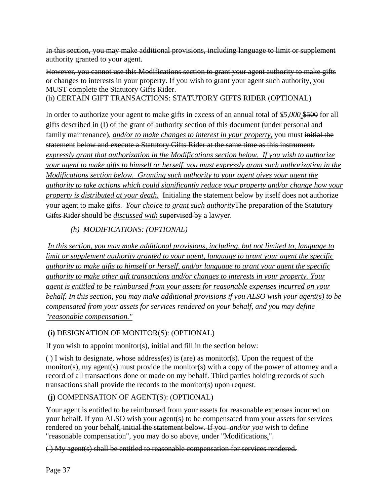In this section, you may make additional provisions, including language to limit or supplement authority granted to your agent.

However, you cannot use this Modifications section to grant your agent authority to make gifts or changes to interests in your property. If you wish to grant your agent such authority, you MUST complete the Statutory Gifts Rider.

(h) CERTAIN GIFT TRANSACTIONS: STATUTORY GIFTS RIDER (OPTIONAL)

In order to authorize your agent to make gifts in excess of an annual total of *\$5,000* \$500 for all gifts described in (I) of the grant of authority section of this document (under personal and family maintenance), *and/or to make changes to interest in your property*, you must initial the statement below and execute a Statutory Gifts Rider at the same time as this instrument. *expressly grant that authorization in the Modifications section below. If you wish to authorize your agent to make gifts to himself or herself, you must expressly grant such authorization in the Modifications section below. Granting such authority to your agent gives your agent the authority to take actions which could significantly reduce your property and/or change how your property is distributed at your death.* Initialing the statement below by itself does not authorize your agent to make gifts. *Your choice to grant such authority*The preparation of the Statutory Gifts Rider should be *discussed with* supervised by a lawyer.

# *(h) MODIFICATIONS: (OPTIONAL)*

*In this section, you may make additional provisions, including, but not limited to, language to limit or supplement authority granted to your agent, language to grant your agent the specific authority to make gifts to himself or herself, and/or language to grant your agent the specific authority to make other gift transactions and/or changes to interests in your property. Your agent is entitled to be reimbursed from your assets for reasonable expenses incurred on your behalf. In this section, you may make additional provisions if you ALSO wish your agent(s) to be compensated from your assets for services rendered on your behalf, and you may define "reasonable compensation."* 

# **(i)** DESIGNATION OF MONITOR(S): (OPTIONAL)

If you wish to appoint monitor(s), initial and fill in the section below:

( ) I wish to designate, whose address(es) is (are) as monitor(s). Upon the request of the monitor(s), my agent(s) must provide the monitor(s) with a copy of the power of attorney and a record of all transactions done or made on my behalf. Third parties holding records of such transactions shall provide the records to the monitor(s) upon request.

# **(j)** COMPENSATION OF AGENT(S): (OPTIONAL)

Your agent is entitled to be reimbursed from your assets for reasonable expenses incurred on your behalf. If you ALSO wish your agent(s) to be compensated from your assets for services rendered on your behalf, initial the statement below. If you *and/or you* wish to define "reasonable compensation", you may do so above, under "Modifications*.*".

( ) My agent(s) shall be entitled to reasonable compensation for services rendered.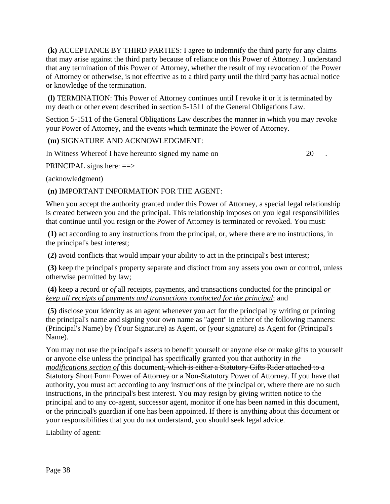**(k)** ACCEPTANCE BY THIRD PARTIES: I agree to indemnify the third party for any claims that may arise against the third party because of reliance on this Power of Attorney. I understand that any termination of this Power of Attorney, whether the result of my revocation of the Power of Attorney or otherwise, is not effective as to a third party until the third party has actual notice or knowledge of the termination.

**(l)** TERMINATION: This Power of Attorney continues until I revoke it or it is terminated by my death or other event described in section 5-1511 of the General Obligations Law.

Section 5-1511 of the General Obligations Law describes the manner in which you may revoke your Power of Attorney, and the events which terminate the Power of Attorney.

**(m)** SIGNATURE AND ACKNOWLEDGMENT:

In Witness Whereof I have hereunto signed my name on 20 .

PRINCIPAL signs here: ==>

(acknowledgment)

**(n)** IMPORTANT INFORMATION FOR THE AGENT:

When you accept the authority granted under this Power of Attorney, a special legal relationship is created between you and the principal. This relationship imposes on you legal responsibilities that continue until you resign or the Power of Attorney is terminated or revoked. You must:

**(1)** act according to any instructions from the principal, or, where there are no instructions, in the principal's best interest;

**(2)** avoid conflicts that would impair your ability to act in the principal's best interest;

**(3)** keep the principal's property separate and distinct from any assets you own or control, unless otherwise permitted by law;

**(4)** keep a record or *of* all receipts, payments, and transactions conducted for the principal *or keep all receipts of payments and transactions conducted for the principal*; and

**(5)** disclose your identity as an agent whenever you act for the principal by writing or printing the principal's name and signing your own name as "agent" in either of the following manners: (Principal's Name) by (Your Signature) as Agent, or (your signature) as Agent for (Principal's Name).

You may not use the principal's assets to benefit yourself or anyone else or make gifts to yourself or anyone else unless the principal has specifically granted you that authority in *the modifications section of* this document, which is either a Statutory Gifts Rider attached to a Statutory Short Form Power of Attorney or a Non-Statutory Power of Attorney. If you have that authority, you must act according to any instructions of the principal or, where there are no such instructions, in the principal's best interest. You may resign by giving written notice to the principal and to any co-agent, successor agent, monitor if one has been named in this document, or the principal's guardian if one has been appointed. If there is anything about this document or your responsibilities that you do not understand, you should seek legal advice.

Liability of agent: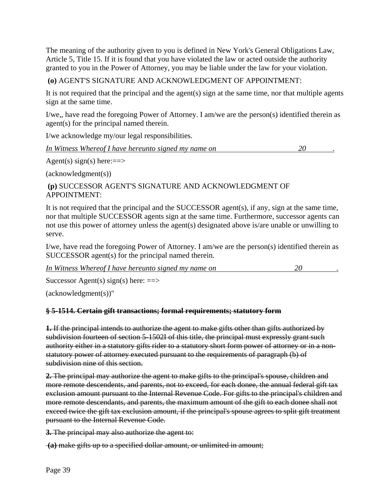The meaning of the authority given to you is defined in New York's General Obligations Law, Article 5, Title 15. If it is found that you have violated the law or acted outside the authority granted to you in the Power of Attorney, you may be liable under the law for your violation.

#### **(o)** AGENT'S SIGNATURE AND ACKNOWLEDGMENT OF APPOINTMENT:

It is not required that the principal and the agent(s) sign at the same time, nor that multiple agents sign at the same time.

I/we,, have read the foregoing Power of Attorney. I am/we are the person(s) identified therein as agent(s) for the principal named therein.

I/we acknowledge my/our legal responsibilities.

*In Witness Whereof I have hereunto signed my name on* 20

Agent(s) sign(s) here:==>

(acknowledgment(s))

#### **(p)** SUCCESSOR AGENT'S SIGNATURE AND ACKNOWLEDGMENT OF APPOINTMENT:

It is not required that the principal and the SUCCESSOR agent(s), if any, sign at the same time, nor that multiple SUCCESSOR agents sign at the same time. Furthermore, successor agents can not use this power of attorney unless the agent(s) designated above is/are unable or unwilling to serve.

I/we, have read the foregoing Power of Attorney. I am/we are the person(s) identified therein as SUCCESSOR agent(s) for the principal named therein.

*In Witness Whereof I have hereunto signed my name on* 20 .  $20$ 

Successor Agent(s) sign(s) here:  $\equiv \gg$ 

(acknowledgment(s))"

#### **§ 5-1514. Certain gift transactions; formal requirements; statutory form**

**1.** If the principal intends to authorize the agent to make gifts other than gifts authorized by subdivision fourteen of section 5-1502I of this title, the principal must expressly grant such authority either in a statutory gifts rider to a statutory short form power of attorney or in a nonstatutory power of attorney executed pursuant to the requirements of paragraph (b) of subdivision nine of this section.

**2.** The principal may authorize the agent to make gifts to the principal's spouse, children and more remote descendents, and parents, not to exceed, for each donee, the annual federal gift tax exclusion amount pursuant to the Internal Revenue Code. For gifts to the principal's children and more remote descendants, and parents, the maximum amount of the gift to each donee shall not exceed twice the gift tax exclusion amount, if the principal's spouse agrees to split gift treatment pursuant to the Internal Revenue Code.

**3.** The principal may also authorize the agent to:

**(a)** make gifts up to a specified dollar amount, or unlimited in amount;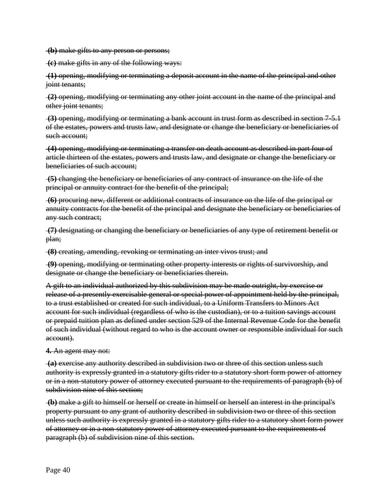**(b)** make gifts to any person or persons;

**(c)** make gifts in any of the following ways:

**(1)** opening, modifying or terminating a deposit account in the name of the principal and other joint tenants;

**(2)** opening, modifying or terminating any other joint account in the name of the principal and other joint tenants;

**(3)** opening, modifying or terminating a bank account in trust form as described in section 7-5.1 of the estates, powers and trusts law, and designate or change the beneficiary or beneficiaries of such account:

**(4)** opening, modifying or terminating a transfer on death account as described in part four of article thirteen of the estates, powers and trusts law, and designate or change the beneficiary or beneficiaries of such account;

**(5)** changing the beneficiary or beneficiaries of any contract of insurance on the life of the principal or annuity contract for the benefit of the principal;

**(6)** procuring new, different or additional contracts of insurance on the life of the principal or annuity contracts for the benefit of the principal and designate the beneficiary or beneficiaries of any such contract;

**(7)** designating or changing the beneficiary or beneficiaries of any type of retirement benefit or plan;

**(8)** creating, amending, revoking or terminating an inter vivos trust; and

**(9)** opening, modifying or terminating other property interests or rights of survivorship, and designate or change the beneficiary or beneficiaries therein.

A gift to an individual authorized by this subdivision may be made outright, by exercise or release of a presently exercisable general or special power of appointment held by the principal, to a trust established or created for such individual, to a Uniform Transfers to Minors Act account for such individual (regardless of who is the custodian), or to a tuition savings account or prepaid tuition plan as defined under section 529 of the Internal Revenue Code for the benefit of such individual (without regard to who is the account owner or responsible individual for such account).

**4.** An agent may not:

**(a)** exercise any authority described in subdivision two or three of this section unless such authority is expressly granted in a statutory gifts rider to a statutory short form power of attorney or in a non-statutory power of attorney executed pursuant to the requirements of paragraph (b) of subdivision nine of this section;

**(b)** make a gift to himself or herself or create in himself or herself an interest in the principal's property pursuant to any grant of authority described in subdivision two or three of this section unless such authority is expressly granted in a statutory gifts rider to a statutory short form power of attorney or in a non-statutory power of attorney executed pursuant to the requirements of paragraph (b) of subdivision nine of this section.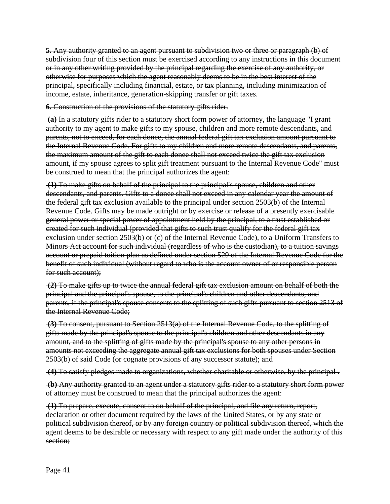**5.** Any authority granted to an agent pursuant to subdivision two or three or paragraph (b) of subdivision four of this section must be exercised according to any instructions in this document or in any other writing provided by the principal regarding the exercise of any authority, or otherwise for purposes which the agent reasonably deems to be in the best interest of the principal, specifically including financial, estate, or tax planning, including minimization of income, estate, inheritance, generation-skipping transfer or gift taxes.

**6.** Construction of the provisions of the statutory gifts rider.

**(a)** In a statutory gifts rider to a statutory short form power of attorney, the language "I grant authority to my agent to make gifts to my spouse, children and more remote descendants, and parents, not to exceed, for each donee, the annual federal gift tax exclusion amount pursuant to the Internal Revenue Code. For gifts to my children and more remote descendants, and parents, the maximum amount of the gift to each donee shall not exceed twice the gift tax exclusion amount, if my spouse agrees to split gift treatment pursuant to the Internal Revenue Code" must be construed to mean that the principal authorizes the agent:

**(1)** To make gifts on behalf of the principal to the principal's spouse, children and other descendants, and parents. Gifts to a donee shall not exceed in any calendar year the amount of the federal gift tax exclusion available to the principal under section 2503(b) of the Internal Revenue Code. Gifts may be made outright or by exercise or release of a presently exercisable general power or special power of appointment held by the principal, to a trust established or created for such individual (provided that gifts to such trust qualify for the federal gift tax exclusion under section 2503(b) or (c) of the Internal Revenue Code), to a Uniform Transfers to Minors Act account for such individual (regardless of who is the custodian), to a tuition savings account or prepaid tuition plan as defined under section 529 of the Internal Revenue Code for the benefit of such individual (without regard to who is the account owner of or responsible person for such account);

**(2)** To make gifts up to twice the annual federal gift tax exclusion amount on behalf of both the principal and the principal's spouse, to the principal's children and other descendants, and parents, if the principal's spouse consents to the splitting of such gifts pursuant to section 2513 of the Internal Revenue Code;

**(3)** To consent, pursuant to Section 2513(a) of the Internal Revenue Code, to the splitting of gifts made by the principal's spouse to the principal's children and other descendants in any amount, and to the splitting of gifts made by the principal's spouse to any other persons in amounts not exceeding the aggregate annual gift tax exclusions for both spouses under Section 2503(b) of said Code (or cognate provisions of any successor statute); and

**(4)** To satisfy pledges made to organizations, whether charitable or otherwise, by the principal .

**(b)** Any authority granted to an agent under a statutory gifts rider to a statutory short form power of attorney must be construed to mean that the principal authorizes the agent:

**(1)** To prepare, execute, consent to on behalf of the principal, and file any return, report, declaration or other document required by the laws of the United States, or by any state or political subdivision thereof, or by any foreign country or political subdivision thereof, which the agent deems to be desirable or necessary with respect to any gift made under the authority of this section;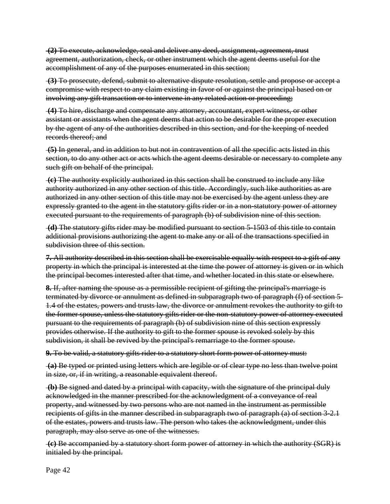**(2)** To execute, acknowledge, seal and deliver any deed, assignment, agreement, trust agreement, authorization, check, or other instrument which the agent deems useful for the accomplishment of any of the purposes enumerated in this section;

**(3)** To prosecute, defend, submit to alternative dispute resolution, settle and propose or accept a compromise with respect to any claim existing in favor of or against the principal based on or involving any gift transaction or to intervene in any related action or proceeding;

**(4)** To hire, discharge and compensate any attorney, accountant, expert witness, or other assistant or assistants when the agent deems that action to be desirable for the proper execution by the agent of any of the authorities described in this section, and for the keeping of needed records thereof; and

**(5)** In general, and in addition to but not in contravention of all the specific acts listed in this section, to do any other act or acts which the agent deems desirable or necessary to complete any such gift on behalf of the principal.

**(c)** The authority explicitly authorized in this section shall be construed to include any like authority authorized in any other section of this title. Accordingly, such like authorities as are authorized in any other section of this title may not be exercised by the agent unless they are expressly granted to the agent in the statutory gifts rider or in a non-statutory power of attorney executed pursuant to the requirements of paragraph (b) of subdivision nine of this section.

**(d)** The statutory gifts rider may be modified pursuant to section 5-1503 of this title to contain additional provisions authorizing the agent to make any or all of the transactions specified in subdivision three of this section.

**7.** All authority described in this section shall be exercisable equally with respect to a gift of any property in which the principal is interested at the time the power of attorney is given or in which the principal becomes interested after that time, and whether located in this state or elsewhere.

**8.** If, after naming the spouse as a permissible recipient of gifting the principal's marriage is terminated by divorce or annulment as defined in subparagraph two of paragraph (f) of section 5- 1.4 of the estates, powers and trusts law, the divorce or annulment revokes the authority to gift to the former spouse, unless the statutory gifts rider or the non-statutory power of attorney executed pursuant to the requirements of paragraph (b) of subdivision nine of this section expressly provides otherwise. If the authority to gift to the former spouse is revoked solely by this subdivision, it shall be revived by the principal's remarriage to the former spouse.

**9.** To be valid, a statutory gifts rider to a statutory short form power of attorney must:

**(a)** Be typed or printed using letters which are legible or of clear type no less than twelve point in size, or, if in writing, a reasonable equivalent thereof.

**(b)** Be signed and dated by a principal with capacity, with the signature of the principal duly acknowledged in the manner prescribed for the acknowledgment of a conveyance of real property, and witnessed by two persons who are not named in the instrument as permissible recipients of gifts in the manner described in subparagraph two of paragraph (a) of section 3-2.1 of the estates, powers and trusts law. The person who takes the acknowledgment, under this paragraph, may also serve as one of the witnesses.

**(c)** Be accompanied by a statutory short form power of attorney in which the authority (SGR) is initialed by the principal.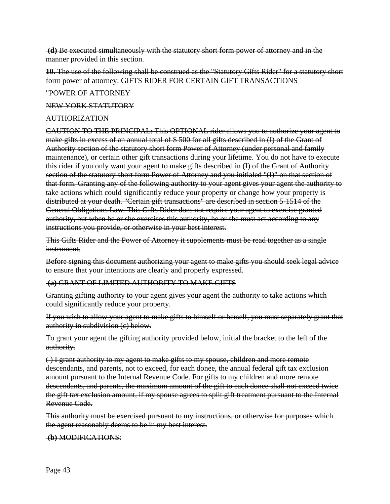**(d)** Be executed simultaneously with the statutory short form power of attorney and in the manner provided in this section.

**10.** The use of the following shall be construed as the "Statutory Gifts Rider" for a statutory short form power of attorney: GIFTS RIDER FOR CERTAIN GIFT TRANSACTIONS

#### "POWER OF ATTORNEY

#### NEW YORK STATUTORY

#### AUTHORIZATION

CAUTION TO THE PRINCIPAL: This OPTIONAL rider allows you to authorize your agent to make gifts in excess of an annual total of \$ 500 for all gifts described in (I) of the Grant of Authority section of the statutory short form Power of Attorney (under personal and family maintenance), or certain other gift transactions during your lifetime. You do not have to execute this rider if you only want your agent to make gifts described in (I) of the Grant of Authority section of the statutory short form Power of Attorney and you initialed "(I)" on that section of that form. Granting any of the following authority to your agent gives your agent the authority to take actions which could significantly reduce your property or change how your property is distributed at your death. "Certain gift transactions" are described in section 5-1514 of the General Obligations Law. This Gifts Rider does not require your agent to exercise granted authority, but when he or she exercises this authority, he or she must act according to any instructions you provide, or otherwise in your best interest.

This Gifts Rider and the Power of Attorney it supplements must be read together as a single instrument.

Before signing this document authorizing your agent to make gifts you should seek legal advice to ensure that your intentions are clearly and properly expressed.

#### **(a)** GRANT OF LIMITED AUTHORITY TO MAKE GIFTS

Granting gifting authority to your agent gives your agent the authority to take actions which could significantly reduce your property.

If you wish to allow your agent to make gifts to himself or herself, you must separately grant that authority in subdivision (e) below.

To grant your agent the gifting authority provided below, initial the bracket to the left of the authority.

( ) I grant authority to my agent to make gifts to my spouse, children and more remote descendants, and parents, not to exceed, for each donee, the annual federal gift tax exclusion amount pursuant to the Internal Revenue Code. For gifts to my children and more remote descendants, and parents, the maximum amount of the gift to each donee shall not exceed twice the gift tax exclusion amount, if my spouse agrees to split gift treatment pursuant to the Internal Revenue Code.

This authority must be exercised pursuant to my instructions, or otherwise for purposes which the agent reasonably deems to be in my best interest.

#### **(b)** MODIFICATIONS: